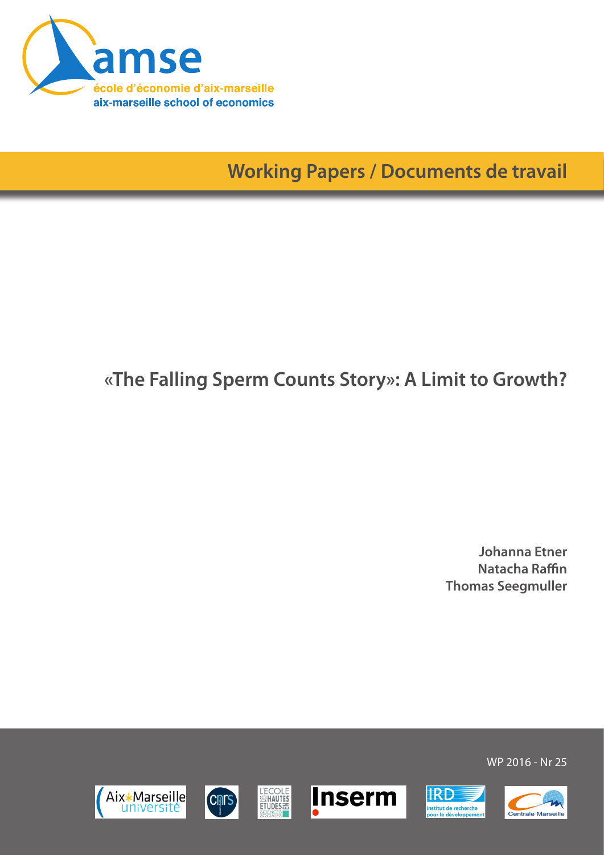

**Working Papers / Documents de travail**

# **«The Falling Sperm Counts Story»: A Limit to Growth?**

**Johanna Etner Natacha Raffin Thomas Seegmuller**

WP 2016 - Nr 25

**IRD** 

nstitut de recherche<br>pour le développeme







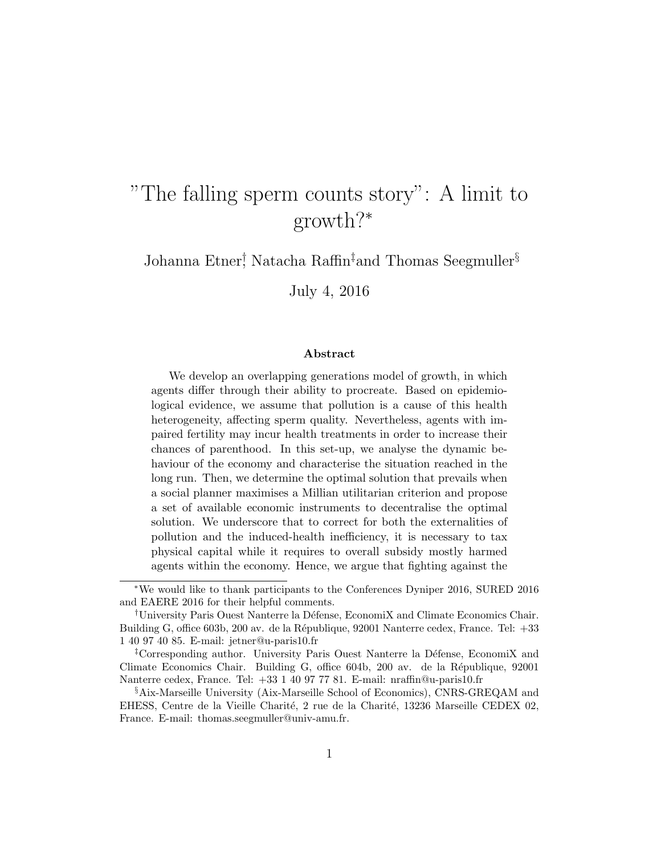# "The falling sperm counts story": A limit to growth?<sup>∗</sup>

Johanna Etner† , Natacha Raffin‡and Thomas Seegmuller§

July 4, 2016

#### Abstract

We develop an overlapping generations model of growth, in which agents differ through their ability to procreate. Based on epidemiological evidence, we assume that pollution is a cause of this health heterogeneity, affecting sperm quality. Nevertheless, agents with impaired fertility may incur health treatments in order to increase their chances of parenthood. In this set-up, we analyse the dynamic behaviour of the economy and characterise the situation reached in the long run. Then, we determine the optimal solution that prevails when a social planner maximises a Millian utilitarian criterion and propose a set of available economic instruments to decentralise the optimal solution. We underscore that to correct for both the externalities of pollution and the induced-health inefficiency, it is necessary to tax physical capital while it requires to overall subsidy mostly harmed agents within the economy. Hence, we argue that fighting against the

<sup>∗</sup>We would like to thank participants to the Conferences Dyniper 2016, SURED 2016 and EAERE 2016 for their helpful comments.

<sup>†</sup>University Paris Ouest Nanterre la D´efense, EconomiX and Climate Economics Chair. Building G, office 603b, 200 av. de la République, 92001 Nanterre cedex, France. Tel: +33 1 40 97 40 85. E-mail: jetner@u-paris10.fr

<sup>&</sup>lt;sup>‡</sup>Corresponding author. University Paris Ouest Nanterre la Défense, EconomiX and Climate Economics Chair. Building G, office 604b, 200 av. de la République, 92001 Nanterre cedex, France. Tel: +33 1 40 97 77 81. E-mail: nraffin@u-paris10.fr

<sup>§</sup>Aix-Marseille University (Aix-Marseille School of Economics), CNRS-GREQAM and EHESS, Centre de la Vieille Charité, 2 rue de la Charité, 13236 Marseille CEDEX 02, France. E-mail: thomas.seegmuller@univ-amu.fr.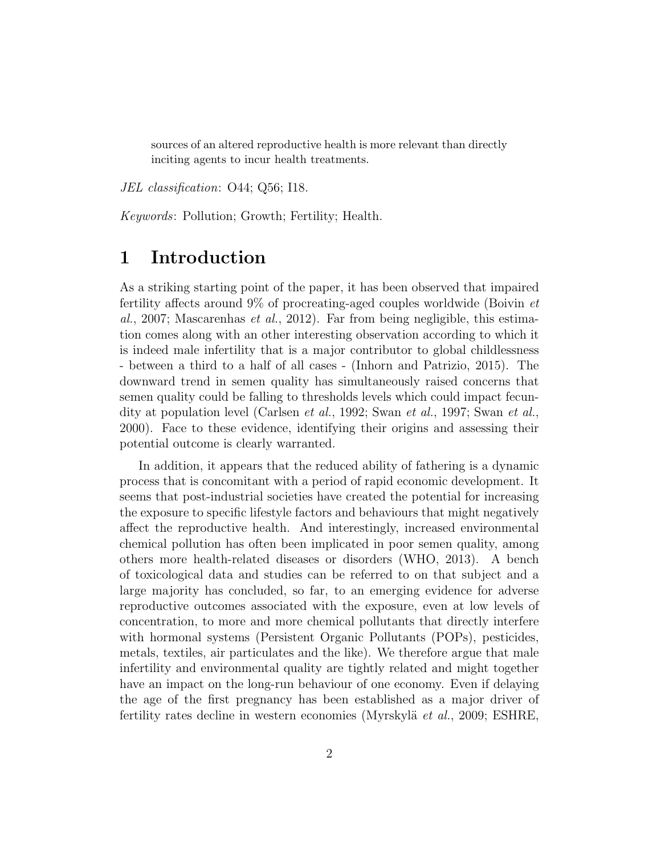sources of an altered reproductive health is more relevant than directly inciting agents to incur health treatments.

JEL classification: O44; Q56; I18.

Keywords: Pollution; Growth; Fertility; Health.

# 1 Introduction

As a striking starting point of the paper, it has been observed that impaired fertility affects around 9% of procreating-aged couples worldwide (Boivin et al., 2007; Mascarenhas *et al.*, 2012). Far from being negligible, this estimation comes along with an other interesting observation according to which it is indeed male infertility that is a major contributor to global childlessness - between a third to a half of all cases - (Inhorn and Patrizio, 2015). The downward trend in semen quality has simultaneously raised concerns that semen quality could be falling to thresholds levels which could impact fecundity at population level (Carlsen et al., 1992; Swan et al., 1997; Swan et al., 2000). Face to these evidence, identifying their origins and assessing their potential outcome is clearly warranted.

In addition, it appears that the reduced ability of fathering is a dynamic process that is concomitant with a period of rapid economic development. It seems that post-industrial societies have created the potential for increasing the exposure to specific lifestyle factors and behaviours that might negatively affect the reproductive health. And interestingly, increased environmental chemical pollution has often been implicated in poor semen quality, among others more health-related diseases or disorders (WHO, 2013). A bench of toxicological data and studies can be referred to on that subject and a large majority has concluded, so far, to an emerging evidence for adverse reproductive outcomes associated with the exposure, even at low levels of concentration, to more and more chemical pollutants that directly interfere with hormonal systems (Persistent Organic Pollutants (POPs), pesticides, metals, textiles, air particulates and the like). We therefore argue that male infertility and environmental quality are tightly related and might together have an impact on the long-run behaviour of one economy. Even if delaying the age of the first pregnancy has been established as a major driver of fertility rates decline in western economies (Myrskylä et al., 2009; ESHRE,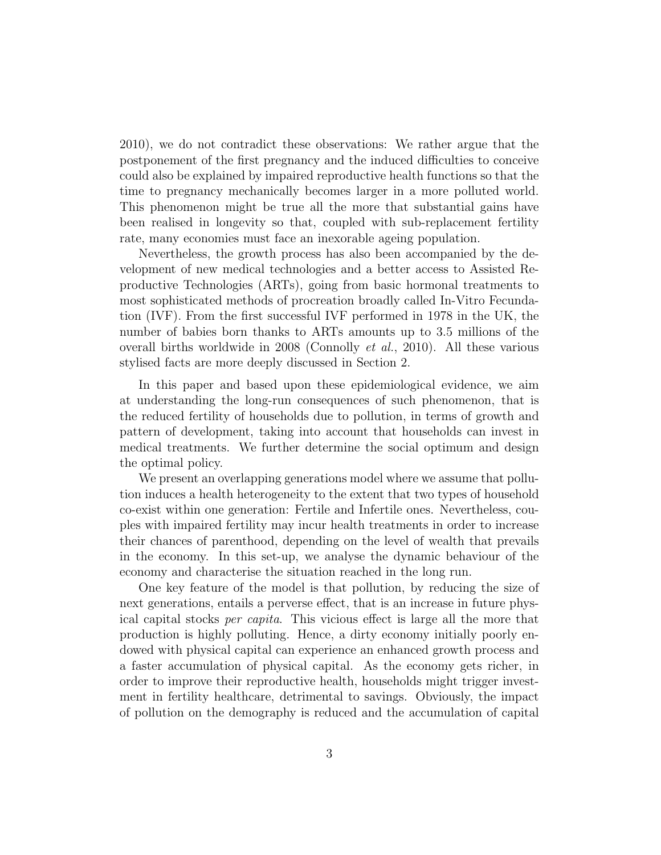2010), we do not contradict these observations: We rather argue that the postponement of the first pregnancy and the induced difficulties to conceive could also be explained by impaired reproductive health functions so that the time to pregnancy mechanically becomes larger in a more polluted world. This phenomenon might be true all the more that substantial gains have been realised in longevity so that, coupled with sub-replacement fertility rate, many economies must face an inexorable ageing population.

Nevertheless, the growth process has also been accompanied by the development of new medical technologies and a better access to Assisted Reproductive Technologies (ARTs), going from basic hormonal treatments to most sophisticated methods of procreation broadly called In-Vitro Fecundation (IVF). From the first successful IVF performed in 1978 in the UK, the number of babies born thanks to ARTs amounts up to 3.5 millions of the overall births worldwide in 2008 (Connolly et al., 2010). All these various stylised facts are more deeply discussed in Section 2.

In this paper and based upon these epidemiological evidence, we aim at understanding the long-run consequences of such phenomenon, that is the reduced fertility of households due to pollution, in terms of growth and pattern of development, taking into account that households can invest in medical treatments. We further determine the social optimum and design the optimal policy.

We present an overlapping generations model where we assume that pollution induces a health heterogeneity to the extent that two types of household co-exist within one generation: Fertile and Infertile ones. Nevertheless, couples with impaired fertility may incur health treatments in order to increase their chances of parenthood, depending on the level of wealth that prevails in the economy. In this set-up, we analyse the dynamic behaviour of the economy and characterise the situation reached in the long run.

One key feature of the model is that pollution, by reducing the size of next generations, entails a perverse effect, that is an increase in future physical capital stocks per capita. This vicious effect is large all the more that production is highly polluting. Hence, a dirty economy initially poorly endowed with physical capital can experience an enhanced growth process and a faster accumulation of physical capital. As the economy gets richer, in order to improve their reproductive health, households might trigger investment in fertility healthcare, detrimental to savings. Obviously, the impact of pollution on the demography is reduced and the accumulation of capital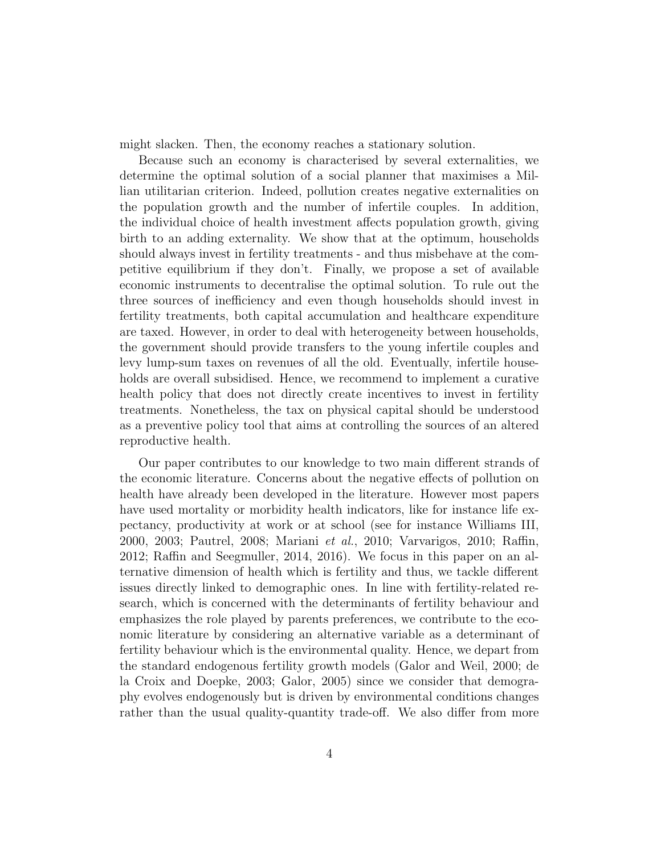might slacken. Then, the economy reaches a stationary solution.

Because such an economy is characterised by several externalities, we determine the optimal solution of a social planner that maximises a Millian utilitarian criterion. Indeed, pollution creates negative externalities on the population growth and the number of infertile couples. In addition, the individual choice of health investment affects population growth, giving birth to an adding externality. We show that at the optimum, households should always invest in fertility treatments - and thus misbehave at the competitive equilibrium if they don't. Finally, we propose a set of available economic instruments to decentralise the optimal solution. To rule out the three sources of inefficiency and even though households should invest in fertility treatments, both capital accumulation and healthcare expenditure are taxed. However, in order to deal with heterogeneity between households, the government should provide transfers to the young infertile couples and levy lump-sum taxes on revenues of all the old. Eventually, infertile households are overall subsidised. Hence, we recommend to implement a curative health policy that does not directly create incentives to invest in fertility treatments. Nonetheless, the tax on physical capital should be understood as a preventive policy tool that aims at controlling the sources of an altered reproductive health.

Our paper contributes to our knowledge to two main different strands of the economic literature. Concerns about the negative effects of pollution on health have already been developed in the literature. However most papers have used mortality or morbidity health indicators, like for instance life expectancy, productivity at work or at school (see for instance Williams III, 2000, 2003; Pautrel, 2008; Mariani et al., 2010; Varvarigos, 2010; Raffin, 2012; Raffin and Seegmuller, 2014, 2016). We focus in this paper on an alternative dimension of health which is fertility and thus, we tackle different issues directly linked to demographic ones. In line with fertility-related research, which is concerned with the determinants of fertility behaviour and emphasizes the role played by parents preferences, we contribute to the economic literature by considering an alternative variable as a determinant of fertility behaviour which is the environmental quality. Hence, we depart from the standard endogenous fertility growth models (Galor and Weil, 2000; de la Croix and Doepke, 2003; Galor, 2005) since we consider that demography evolves endogenously but is driven by environmental conditions changes rather than the usual quality-quantity trade-off. We also differ from more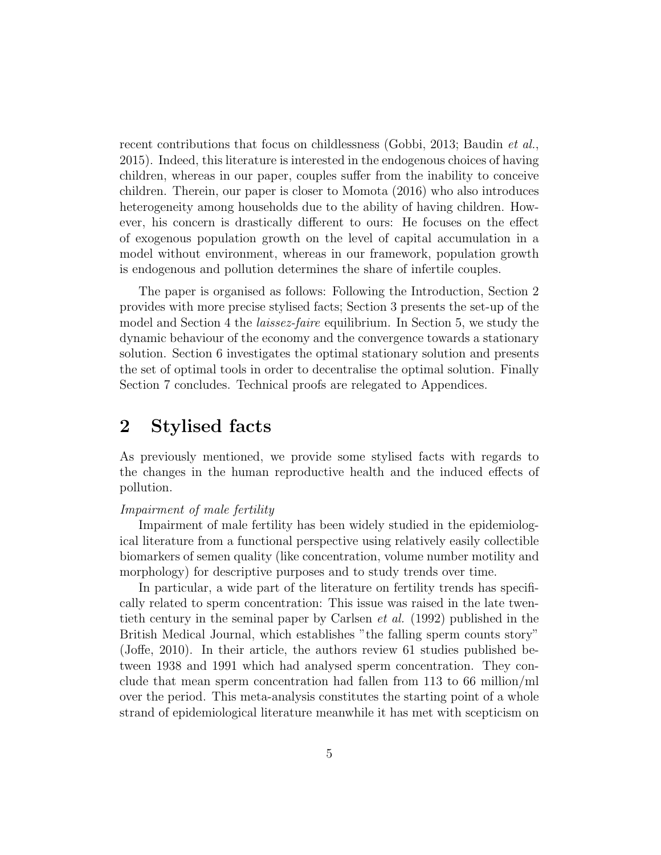recent contributions that focus on childlessness (Gobbi, 2013; Baudin *et al.*, 2015). Indeed, this literature is interested in the endogenous choices of having children, whereas in our paper, couples suffer from the inability to conceive children. Therein, our paper is closer to Momota (2016) who also introduces heterogeneity among households due to the ability of having children. However, his concern is drastically different to ours: He focuses on the effect of exogenous population growth on the level of capital accumulation in a model without environment, whereas in our framework, population growth is endogenous and pollution determines the share of infertile couples.

The paper is organised as follows: Following the Introduction, Section 2 provides with more precise stylised facts; Section 3 presents the set-up of the model and Section 4 the *laissez-faire* equilibrium. In Section 5, we study the dynamic behaviour of the economy and the convergence towards a stationary solution. Section 6 investigates the optimal stationary solution and presents the set of optimal tools in order to decentralise the optimal solution. Finally Section 7 concludes. Technical proofs are relegated to Appendices.

# 2 Stylised facts

As previously mentioned, we provide some stylised facts with regards to the changes in the human reproductive health and the induced effects of pollution.

#### Impairment of male fertility

Impairment of male fertility has been widely studied in the epidemiological literature from a functional perspective using relatively easily collectible biomarkers of semen quality (like concentration, volume number motility and morphology) for descriptive purposes and to study trends over time.

In particular, a wide part of the literature on fertility trends has specifically related to sperm concentration: This issue was raised in the late twentieth century in the seminal paper by Carlsen et al. (1992) published in the British Medical Journal, which establishes "the falling sperm counts story" (Joffe, 2010). In their article, the authors review 61 studies published between 1938 and 1991 which had analysed sperm concentration. They conclude that mean sperm concentration had fallen from 113 to 66 million/ml over the period. This meta-analysis constitutes the starting point of a whole strand of epidemiological literature meanwhile it has met with scepticism on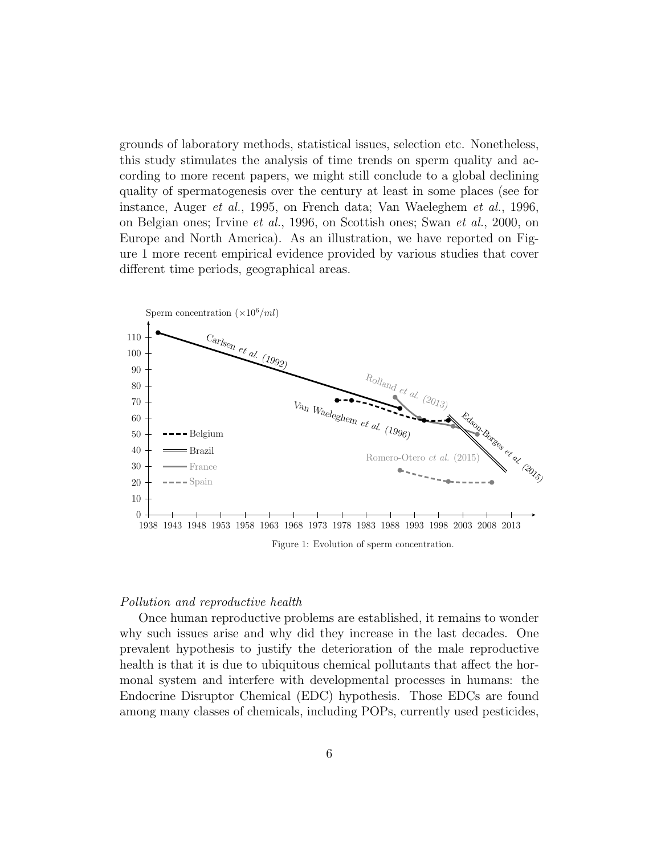grounds of laboratory methods, statistical issues, selection etc. Nonetheless, this study stimulates the analysis of time trends on sperm quality and according to more recent papers, we might still conclude to a global declining quality of spermatogenesis over the century at least in some places (see for instance, Auger et al., 1995, on French data; Van Waeleghem et al., 1996, on Belgian ones; Irvine et al., 1996, on Scottish ones; Swan et al., 2000, on Europe and North America). As an illustration, we have reported on Figure 1 more recent empirical evidence provided by various studies that cover different time periods, geographical areas.



Figure 1: Evolution of sperm concentration.

#### Pollution and reproductive health

Once human reproductive problems are established, it remains to wonder why such issues arise and why did they increase in the last decades. One prevalent hypothesis to justify the deterioration of the male reproductive health is that it is due to ubiquitous chemical pollutants that affect the hormonal system and interfere with developmental processes in humans: the Endocrine Disruptor Chemical (EDC) hypothesis. Those EDCs are found among many classes of chemicals, including POPs, currently used pesticides,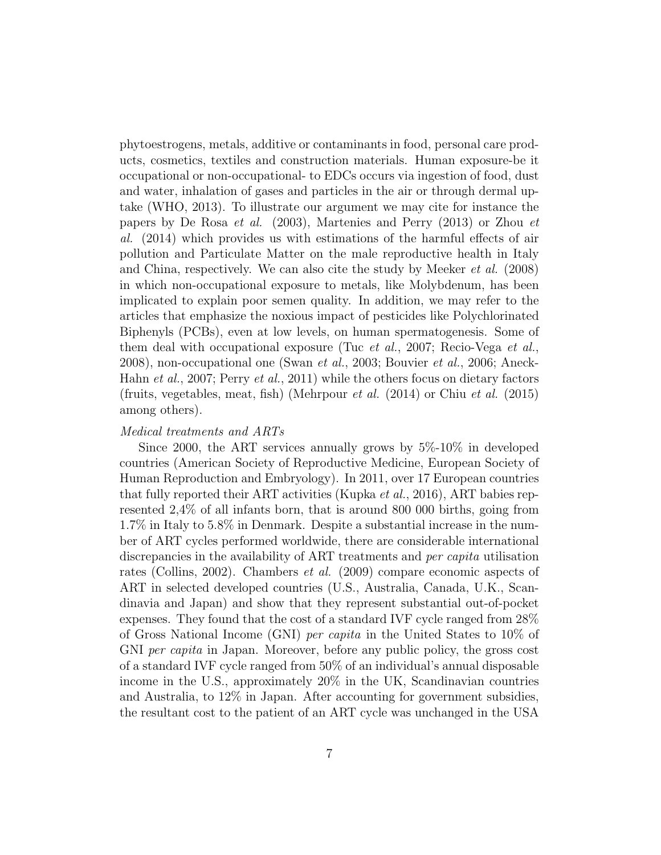phytoestrogens, metals, additive or contaminants in food, personal care products, cosmetics, textiles and construction materials. Human exposure-be it occupational or non-occupational- to EDCs occurs via ingestion of food, dust and water, inhalation of gases and particles in the air or through dermal uptake (WHO, 2013). To illustrate our argument we may cite for instance the papers by De Rosa et al. (2003), Martenies and Perry (2013) or Zhou et al. (2014) which provides us with estimations of the harmful effects of air pollution and Particulate Matter on the male reproductive health in Italy and China, respectively. We can also cite the study by Meeker et al. (2008) in which non-occupational exposure to metals, like Molybdenum, has been implicated to explain poor semen quality. In addition, we may refer to the articles that emphasize the noxious impact of pesticides like Polychlorinated Biphenyls (PCBs), even at low levels, on human spermatogenesis. Some of them deal with occupational exposure (Tuc et al., 2007; Recio-Vega et al., 2008), non-occupational one (Swan et al., 2003; Bouvier et al., 2006; Aneck-Hahn et al., 2007; Perry et al., 2011) while the others focus on dietary factors (fruits, vegetables, meat, fish) (Mehrpour et al. (2014) or Chiu et al. (2015) among others).

#### Medical treatments and ARTs

Since 2000, the ART services annually grows by 5%-10% in developed countries (American Society of Reproductive Medicine, European Society of Human Reproduction and Embryology). In 2011, over 17 European countries that fully reported their ART activities (Kupka et al., 2016), ART babies represented 2,4% of all infants born, that is around 800 000 births, going from 1.7% in Italy to 5.8% in Denmark. Despite a substantial increase in the number of ART cycles performed worldwide, there are considerable international discrepancies in the availability of ART treatments and per capita utilisation rates (Collins, 2002). Chambers et al. (2009) compare economic aspects of ART in selected developed countries (U.S., Australia, Canada, U.K., Scandinavia and Japan) and show that they represent substantial out-of-pocket expenses. They found that the cost of a standard IVF cycle ranged from 28% of Gross National Income (GNI) per capita in the United States to 10% of GNI per capita in Japan. Moreover, before any public policy, the gross cost of a standard IVF cycle ranged from 50% of an individual's annual disposable income in the U.S., approximately 20% in the UK, Scandinavian countries and Australia, to 12% in Japan. After accounting for government subsidies, the resultant cost to the patient of an ART cycle was unchanged in the USA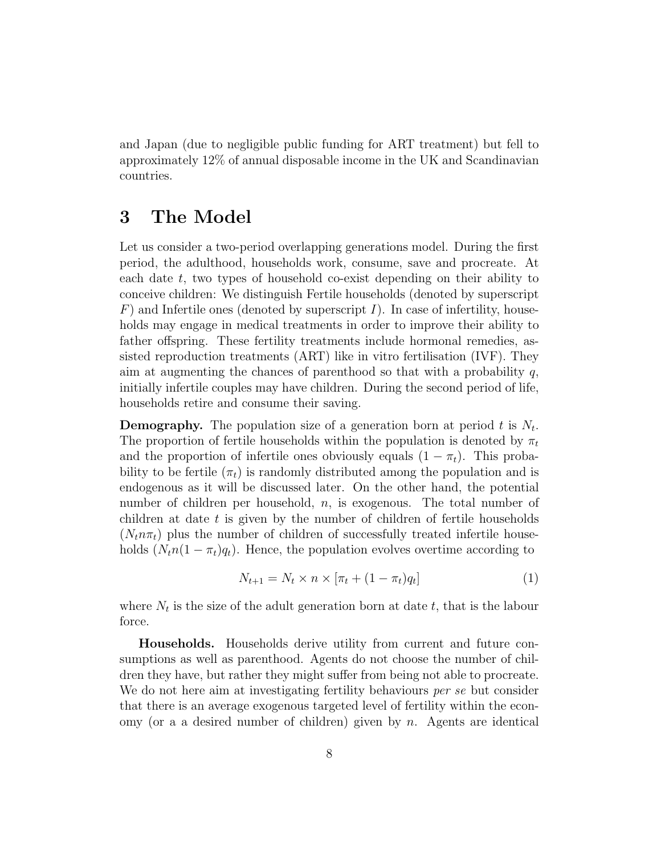and Japan (due to negligible public funding for ART treatment) but fell to approximately 12% of annual disposable income in the UK and Scandinavian countries.

# 3 The Model

Let us consider a two-period overlapping generations model. During the first period, the adulthood, households work, consume, save and procreate. At each date  $t$ , two types of household co-exist depending on their ability to conceive children: We distinguish Fertile households (denoted by superscript  $F$ ) and Infertile ones (denoted by superscript I). In case of infertility, households may engage in medical treatments in order to improve their ability to father offspring. These fertility treatments include hormonal remedies, assisted reproduction treatments (ART) like in vitro fertilisation (IVF). They aim at augmenting the chances of parenthood so that with a probability  $q$ , initially infertile couples may have children. During the second period of life, households retire and consume their saving.

**Demography.** The population size of a generation born at period t is  $N_t$ . The proportion of fertile households within the population is denoted by  $\pi_t$ and the proportion of infertile ones obviously equals  $(1 - \pi_t)$ . This probability to be fertile  $(\pi_t)$  is randomly distributed among the population and is endogenous as it will be discussed later. On the other hand, the potential number of children per household, n, is exogenous. The total number of children at date t is given by the number of children of fertile households  $(N_t n \pi_t)$  plus the number of children of successfully treated infertile households  $(N_t n(1 - \pi_t)q_t)$ . Hence, the population evolves overtime according to

$$
N_{t+1} = N_t \times n \times [\pi_t + (1 - \pi_t)q_t]
$$
 (1)

where  $N_t$  is the size of the adult generation born at date  $t$ , that is the labour force.

Households. Households derive utility from current and future consumptions as well as parenthood. Agents do not choose the number of children they have, but rather they might suffer from being not able to procreate. We do not here aim at investigating fertility behaviours *per se* but consider that there is an average exogenous targeted level of fertility within the economy (or a a desired number of children) given by  $n$ . Agents are identical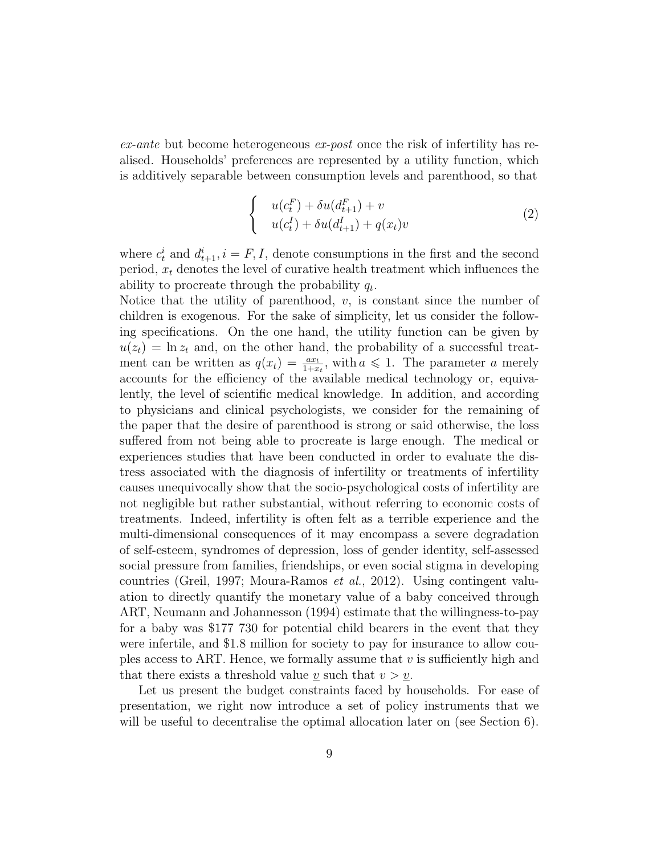$ex$ -ante but become heterogeneous  $ex$ -post once the risk of infertility has realised. Households' preferences are represented by a utility function, which is additively separable between consumption levels and parenthood, so that

$$
\begin{cases}\n u(c_t^F) + \delta u(d_{t+1}^F) + v \\
 u(c_t^I) + \delta u(d_{t+1}^I) + q(x_t)v\n\end{cases} \tag{2}
$$

where  $c_t^i$  and  $d_{t+1}^i$ ,  $i = F, I$ , denote consumptions in the first and the second period,  $x_t$  denotes the level of curative health treatment which influences the ability to procreate through the probability  $q_t$ .

Notice that the utility of parenthood,  $v$ , is constant since the number of children is exogenous. For the sake of simplicity, let us consider the following specifications. On the one hand, the utility function can be given by  $u(z_t) = \ln z_t$  and, on the other hand, the probability of a successful treatment can be written as  $q(x_t) = \frac{ax_t}{1+x_t}$ , with  $a \leq 1$ . The parameter a merely accounts for the efficiency of the available medical technology or, equivalently, the level of scientific medical knowledge. In addition, and according to physicians and clinical psychologists, we consider for the remaining of the paper that the desire of parenthood is strong or said otherwise, the loss suffered from not being able to procreate is large enough. The medical or experiences studies that have been conducted in order to evaluate the distress associated with the diagnosis of infertility or treatments of infertility causes unequivocally show that the socio-psychological costs of infertility are not negligible but rather substantial, without referring to economic costs of treatments. Indeed, infertility is often felt as a terrible experience and the multi-dimensional consequences of it may encompass a severe degradation of self-esteem, syndromes of depression, loss of gender identity, self-assessed social pressure from families, friendships, or even social stigma in developing countries (Greil, 1997; Moura-Ramos et al., 2012). Using contingent valuation to directly quantify the monetary value of a baby conceived through ART, Neumann and Johannesson (1994) estimate that the willingness-to-pay for a baby was \$177 730 for potential child bearers in the event that they were infertile, and \$1.8 million for society to pay for insurance to allow couples access to ART. Hence, we formally assume that  $v$  is sufficiently high and that there exists a threshold value v such that  $v > v$ .

Let us present the budget constraints faced by households. For ease of presentation, we right now introduce a set of policy instruments that we will be useful to decentralise the optimal allocation later on (see Section 6).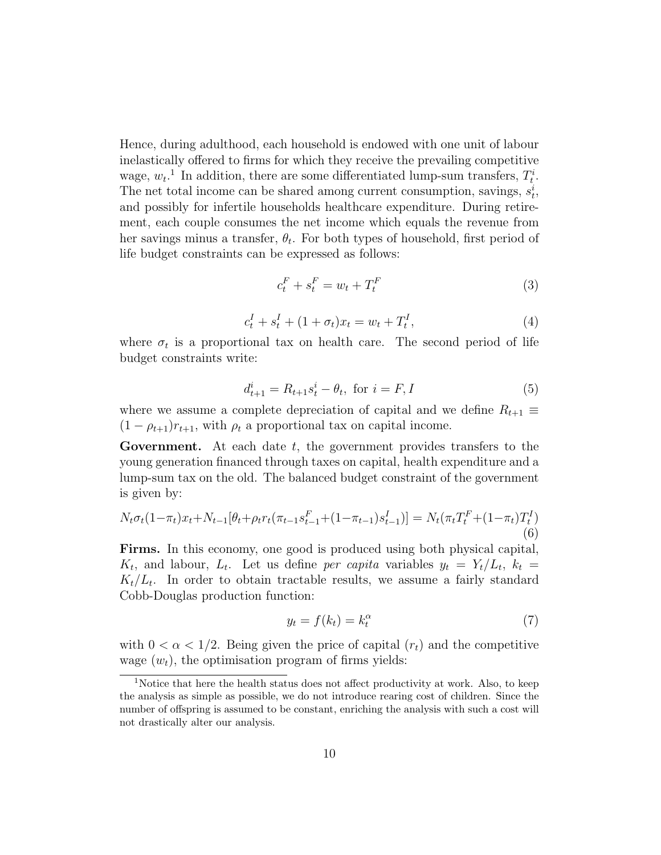Hence, during adulthood, each household is endowed with one unit of labour inelastically offered to firms for which they receive the prevailing competitive wage,  $w_t$ <sup>1</sup>. In addition, there are some differentiated lump-sum transfers,  $T_t^i$ . The net total income can be shared among current consumption, savings,  $s_t^i$ , and possibly for infertile households healthcare expenditure. During retirement, each couple consumes the net income which equals the revenue from her savings minus a transfer,  $\theta_t$ . For both types of household, first period of life budget constraints can be expressed as follows:

$$
c_t^F + s_t^F = w_t + T_t^F \tag{3}
$$

$$
c_t^I + s_t^I + (1 + \sigma_t)x_t = w_t + T_t^I,
$$
\n(4)

where  $\sigma_t$  is a proportional tax on health care. The second period of life budget constraints write:

$$
d_{t+1}^i = R_{t+1} s_t^i - \theta_t, \text{ for } i = F, I
$$
 (5)

where we assume a complete depreciation of capital and we define  $R_{t+1} \equiv$  $(1 - \rho_{t+1})r_{t+1}$ , with  $\rho_t$  a proportional tax on capital income.

Government. At each date t, the government provides transfers to the young generation financed through taxes on capital, health expenditure and a lump-sum tax on the old. The balanced budget constraint of the government is given by:

$$
N_t \sigma_t (1 - \pi_t) x_t + N_{t-1} [\theta_t + \rho_t r_t (\pi_{t-1} s_{t-1}^F + (1 - \pi_{t-1}) s_{t-1}^I)] = N_t (\pi_t T_t^F + (1 - \pi_t) T_t^I)
$$
\n(6)

Firms. In this economy, one good is produced using both physical capital,  $K_t$ , and labour,  $L_t$ . Let us define per capita variables  $y_t = Y_t/L_t$ ,  $k_t =$  $K_t/L_t$ . In order to obtain tractable results, we assume a fairly standard Cobb-Douglas production function:

$$
y_t = f(k_t) = k_t^{\alpha} \tag{7}
$$

with  $0 < \alpha < 1/2$ . Being given the price of capital  $(r_t)$  and the competitive wage  $(w_t)$ , the optimisation program of firms yields:

<sup>&</sup>lt;sup>1</sup>Notice that here the health status does not affect productivity at work. Also, to keep the analysis as simple as possible, we do not introduce rearing cost of children. Since the number of offspring is assumed to be constant, enriching the analysis with such a cost will not drastically alter our analysis.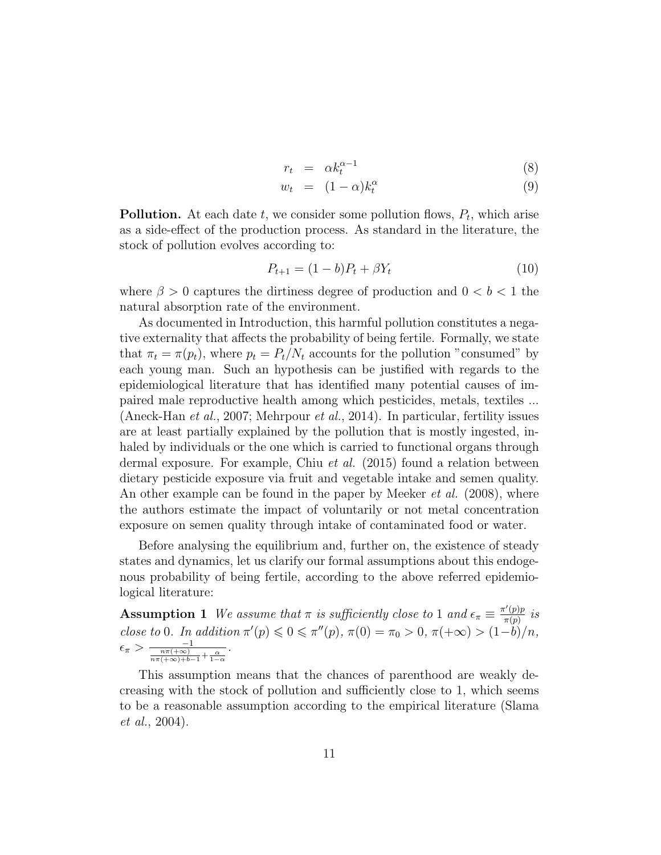$$
r_t = \alpha k_t^{\alpha - 1} \tag{8}
$$

$$
w_t = (1 - \alpha)k_t^{\alpha} \tag{9}
$$

**Pollution.** At each date  $t$ , we consider some pollution flows,  $P_t$ , which arise as a side-effect of the production process. As standard in the literature, the stock of pollution evolves according to:

$$
P_{t+1} = (1 - b)P_t + \beta Y_t \tag{10}
$$

where  $\beta > 0$  captures the dirtiness degree of production and  $0 < b < 1$  the natural absorption rate of the environment.

As documented in Introduction, this harmful pollution constitutes a negative externality that affects the probability of being fertile. Formally, we state that  $\pi_t = \pi(p_t)$ , where  $p_t = P_t/N_t$  accounts for the pollution "consumed" by each young man. Such an hypothesis can be justified with regards to the epidemiological literature that has identified many potential causes of impaired male reproductive health among which pesticides, metals, textiles ... (Aneck-Han et al., 2007; Mehrpour et al., 2014). In particular, fertility issues are at least partially explained by the pollution that is mostly ingested, inhaled by individuals or the one which is carried to functional organs through dermal exposure. For example, Chiu et al. (2015) found a relation between dietary pesticide exposure via fruit and vegetable intake and semen quality. An other example can be found in the paper by Meeker *et al.* (2008), where the authors estimate the impact of voluntarily or not metal concentration exposure on semen quality through intake of contaminated food or water.

Before analysing the equilibrium and, further on, the existence of steady states and dynamics, let us clarify our formal assumptions about this endogenous probability of being fertile, according to the above referred epidemiological literature:

**Assumption 1** We assume that  $\pi$  is sufficiently close to 1 and  $\epsilon_{\pi} \equiv \frac{\pi'(p)p}{\pi(p)}$  $\frac{\pi(p)p}{\pi(p)}$  is close to 0. In addition  $\pi'(p) \leq 0 \leq \pi''(p)$ ,  $\pi(0) = \pi_0 > 0$ ,  $\pi(+\infty) > (1-b)/n$ ,  $\epsilon_{\pi} > \frac{-1}{\frac{n\pi(+\infty)}{n\pi(+\infty)+b-1}+\frac{\alpha}{1-\alpha}}.$ 

This assumption means that the chances of parenthood are weakly decreasing with the stock of pollution and sufficiently close to 1, which seems to be a reasonable assumption according to the empirical literature (Slama et al., 2004).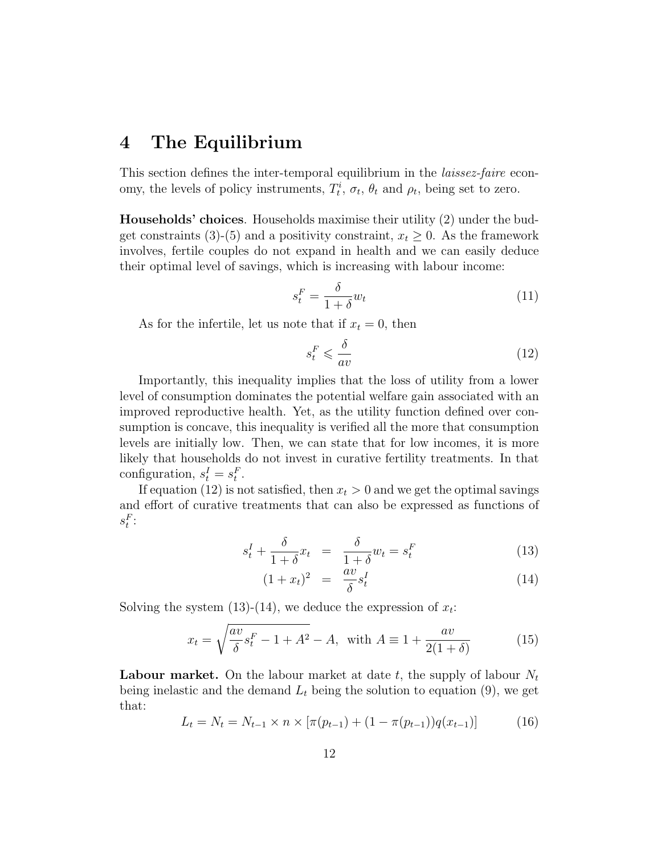# 4 The Equilibrium

This section defines the inter-temporal equilibrium in the *laissez-faire* economy, the levels of policy instruments,  $T_t^i$ ,  $\sigma_t$ ,  $\theta_t$  and  $\rho_t$ , being set to zero.

Households' choices. Households maximise their utility (2) under the budget constraints (3)-(5) and a positivity constraint,  $x_t \geq 0$ . As the framework involves, fertile couples do not expand in health and we can easily deduce their optimal level of savings, which is increasing with labour income:

$$
s_t^F = \frac{\delta}{1+\delta} w_t \tag{11}
$$

As for the infertile, let us note that if  $x_t = 0$ , then

$$
s_t^F \leqslant \frac{\delta}{av} \tag{12}
$$

Importantly, this inequality implies that the loss of utility from a lower level of consumption dominates the potential welfare gain associated with an improved reproductive health. Yet, as the utility function defined over consumption is concave, this inequality is verified all the more that consumption levels are initially low. Then, we can state that for low incomes, it is more likely that households do not invest in curative fertility treatments. In that configuration,  $s_t^I = s_t^F$ .

If equation (12) is not satisfied, then  $x_t > 0$  and we get the optimal savings and effort of curative treatments that can also be expressed as functions of  $s_t^F$ :

$$
s_t^I + \frac{\delta}{1+\delta}x_t = \frac{\delta}{1+\delta}w_t = s_t^F \tag{13}
$$

$$
(1+x_t)^2 = \frac{av}{\delta} s_t^I \tag{14}
$$

Solving the system  $(13)-(14)$ , we deduce the expression of  $x_t$ :

$$
x_t = \sqrt{\frac{av}{\delta} s_t^F - 1 + A^2} - A, \text{ with } A \equiv 1 + \frac{av}{2(1+\delta)} \tag{15}
$$

**Labour market.** On the labour market at date t, the supply of labour  $N_t$ being inelastic and the demand  $L_t$  being the solution to equation (9), we get that:

$$
L_t = N_t = N_{t-1} \times n \times [\pi(p_{t-1}) + (1 - \pi(p_{t-1}))q(x_{t-1})]
$$
(16)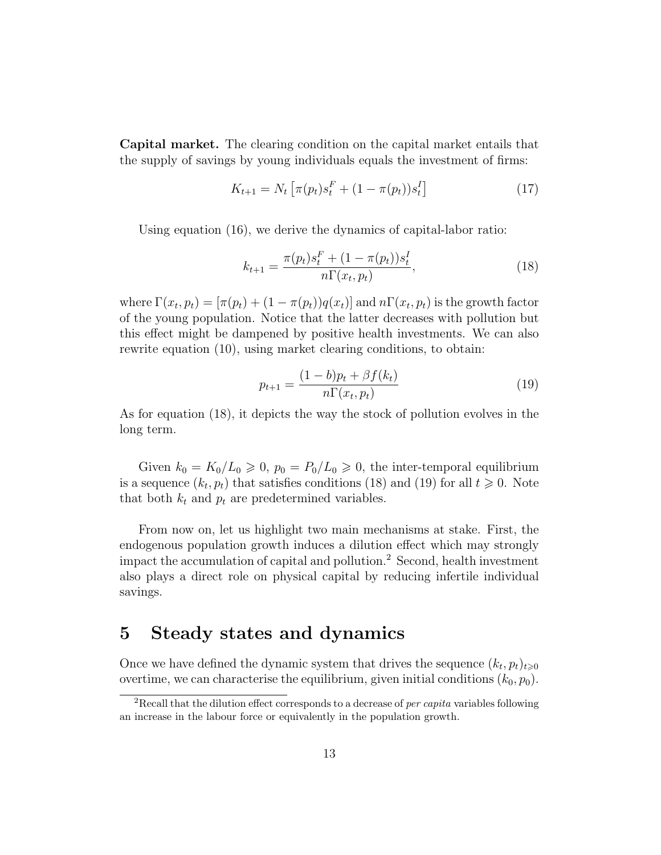Capital market. The clearing condition on the capital market entails that the supply of savings by young individuals equals the investment of firms:

$$
K_{t+1} = N_t \left[ \pi(p_t) s_t^F + (1 - \pi(p_t)) s_t^I \right]
$$
 (17)

Using equation (16), we derive the dynamics of capital-labor ratio:

$$
k_{t+1} = \frac{\pi(p_t)s_t^F + (1 - \pi(p_t))s_t^I}{n\Gamma(x_t, p_t)},
$$
\n(18)

where  $\Gamma(x_t, p_t) = [\pi(p_t) + (1 - \pi(p_t))q(x_t)]$  and  $n\Gamma(x_t, p_t)$  is the growth factor of the young population. Notice that the latter decreases with pollution but this effect might be dampened by positive health investments. We can also rewrite equation (10), using market clearing conditions, to obtain:

$$
p_{t+1} = \frac{(1-b)p_t + \beta f(k_t)}{n\Gamma(x_t, p_t)}
$$
(19)

As for equation (18), it depicts the way the stock of pollution evolves in the long term.

Given  $k_0 = K_0/L_0 \geq 0$ ,  $p_0 = P_0/L_0 \geq 0$ , the inter-temporal equilibrium is a sequence  $(k_t, p_t)$  that satisfies conditions (18) and (19) for all  $t \geq 0$ . Note that both  $k_t$  and  $p_t$  are predetermined variables.

From now on, let us highlight two main mechanisms at stake. First, the endogenous population growth induces a dilution effect which may strongly impact the accumulation of capital and pollution.<sup>2</sup> Second, health investment also plays a direct role on physical capital by reducing infertile individual savings.

# 5 Steady states and dynamics

Once we have defined the dynamic system that drives the sequence  $(k_t, p_t)_{t \geqslant 0}$ overtime, we can characterise the equilibrium, given initial conditions  $(k_0, p_0)$ .

<sup>&</sup>lt;sup>2</sup>Recall that the dilution effect corresponds to a decrease of *per capita* variables following an increase in the labour force or equivalently in the population growth.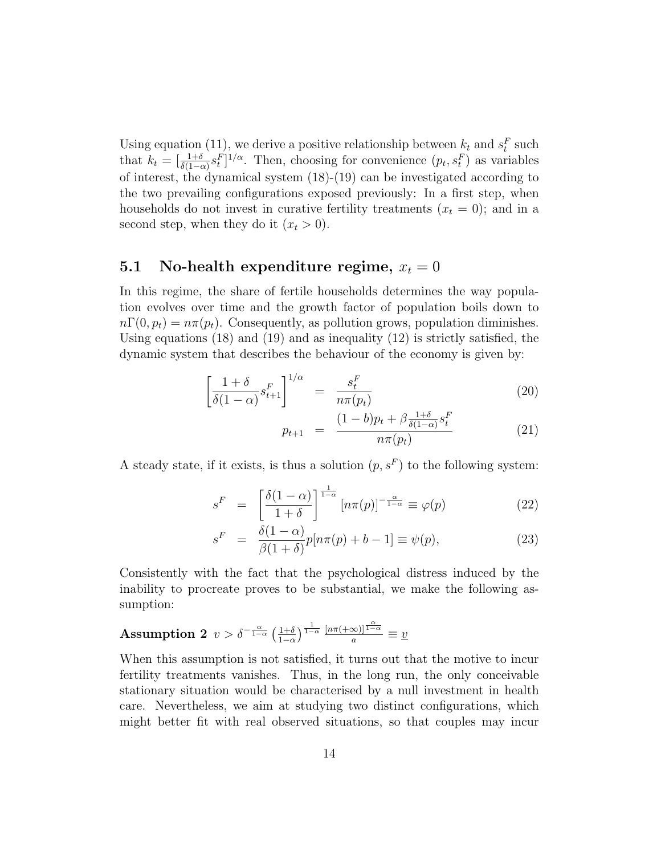Using equation (11), we derive a positive relationship between  $k_t$  and  $s_t^F$  such that  $k_t = \left[\frac{1+\delta}{\delta(1-\alpha)}s_t^F\right]^{1/\alpha}$ . Then, choosing for convenience  $(p_t, s_t^F)$  as variables of interest, the dynamical system (18)-(19) can be investigated according to the two prevailing configurations exposed previously: In a first step, when households do not invest in curative fertility treatments  $(x_t = 0)$ ; and in a second step, when they do it  $(x_t > 0)$ .

## 5.1 No-health expenditure regime,  $x_t = 0$

In this regime, the share of fertile households determines the way population evolves over time and the growth factor of population boils down to  $n\Gamma(0, p_t) = n\pi(p_t)$ . Consequently, as pollution grows, population diminishes. Using equations (18) and (19) and as inequality (12) is strictly satisfied, the dynamic system that describes the behaviour of the economy is given by:

$$
\left[\frac{1+\delta}{\delta(1-\alpha)}s_{t+1}^F\right]^{1/\alpha} = \frac{s_t^F}{n\pi(p_t)}
$$
\n(20)

$$
p_{t+1} = \frac{(1-b)p_t + \beta \frac{1+\delta}{\delta(1-\alpha)} s_t^F}{n\pi(p_t)}
$$
(21)

A steady state, if it exists, is thus a solution  $(p, s^F)$  to the following system:

$$
s^{F} = \left[\frac{\delta(1-\alpha)}{1+\delta}\right]^{\frac{1}{1-\alpha}} [n\pi(p)]^{-\frac{\alpha}{1-\alpha}} \equiv \varphi(p) \tag{22}
$$

$$
s^{F} = \frac{\delta(1-\alpha)}{\beta(1+\delta)} p[n\pi(p) + b - 1] \equiv \psi(p), \qquad (23)
$$

Consistently with the fact that the psychological distress induced by the inability to procreate proves to be substantial, we make the following assumption:

**Assumption 2** 
$$
v > \delta^{-\frac{\alpha}{1-\alpha}} \left(\frac{1+\delta}{1-\alpha}\right)^{\frac{1}{1-\alpha}} \frac{[n\pi(+\infty)]^{\frac{\alpha}{1-\alpha}}}{a} \equiv \underline{v}
$$

When this assumption is not satisfied, it turns out that the motive to incur fertility treatments vanishes. Thus, in the long run, the only conceivable stationary situation would be characterised by a null investment in health care. Nevertheless, we aim at studying two distinct configurations, which might better fit with real observed situations, so that couples may incur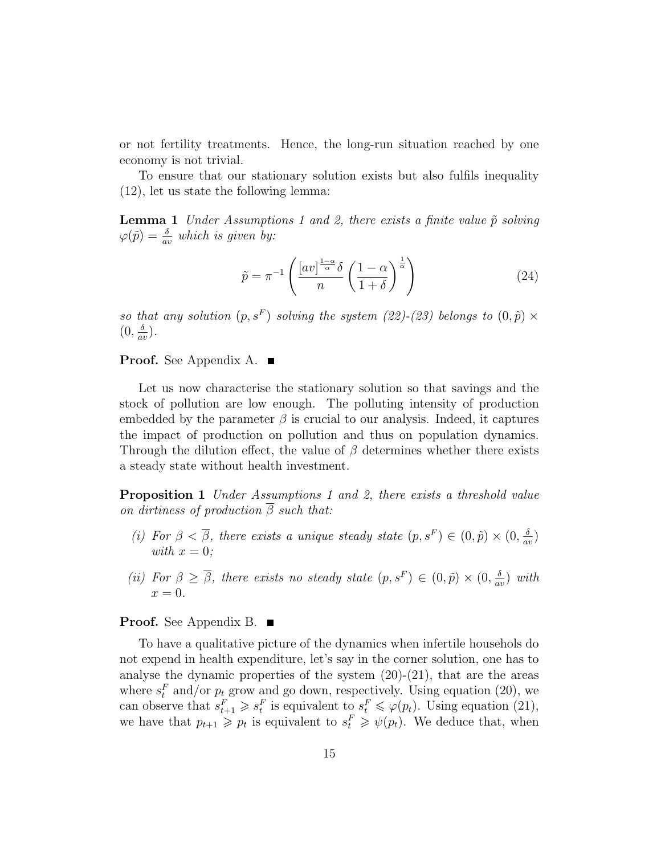or not fertility treatments. Hence, the long-run situation reached by one economy is not trivial.

To ensure that our stationary solution exists but also fulfils inequality (12), let us state the following lemma:

**Lemma 1** Under Assumptions 1 and 2, there exists a finite value  $\tilde{p}$  solving  $\varphi(\tilde{p}) = \frac{\delta}{av}$  which is given by:

$$
\tilde{p} = \pi^{-1} \left( \frac{\left[ av \right]^{\frac{1-\alpha}{\alpha}} \delta}{n} \left( \frac{1-\alpha}{1+\delta} \right)^{\frac{1}{\alpha}} \right)
$$
(24)

so that any solution  $(p, s^F)$  solving the system  $(22)-(23)$  belongs to  $(0, \tilde{p}) \times$  $(0, \frac{\delta}{\alpha}$  $\frac{\delta}{av}$ .

**Proof.** See Appendix A.  $\blacksquare$ 

Let us now characterise the stationary solution so that savings and the stock of pollution are low enough. The polluting intensity of production embedded by the parameter  $\beta$  is crucial to our analysis. Indeed, it captures the impact of production on pollution and thus on population dynamics. Through the dilution effect, the value of  $\beta$  determines whether there exists a steady state without health investment.

Proposition 1 Under Assumptions 1 and 2, there exists a threshold value on dirtiness of production  $\overline{\beta}$  such that:

- (i) For  $\beta < \overline{\beta}$ , there exists a unique steady state  $(p, s^F) \in (0, \tilde{p}) \times (0, \frac{\delta}{a^2})$  $\frac{\delta}{av}$ with  $x = 0$ ;
- (ii) For  $\beta \geq \overline{\beta}$ , there exists no steady state  $(p, s^F) \in (0, \tilde{p}) \times (0, \frac{\delta}{a^2})$  $\frac{\delta}{av}$ ) with  $x=0.$

#### **Proof.** See Appendix B. ■

To have a qualitative picture of the dynamics when infertile househols do not expend in health expenditure, let's say in the corner solution, one has to analyse the dynamic properties of the system  $(20)-(21)$ , that are the areas where  $s_t^F$  and/or  $p_t$  grow and go down, respectively. Using equation (20), we can observe that  $s_{t+1}^F \geqslant s_t^F$  is equivalent to  $s_t^F \leqslant \varphi(p_t)$ . Using equation (21), we have that  $p_{t+1} \geq p_t$  is equivalent to  $s_t^F \geq \psi(p_t)$ . We deduce that, when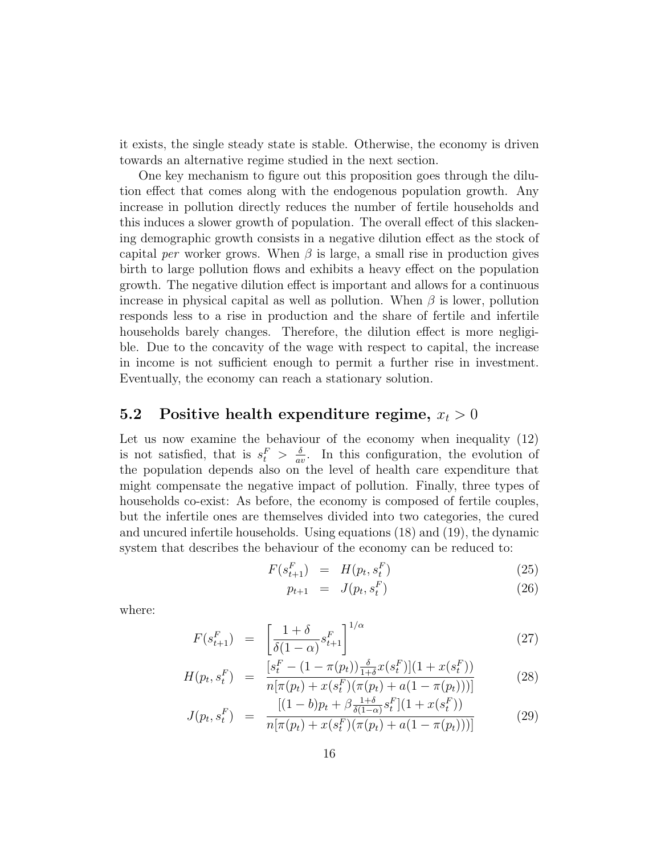it exists, the single steady state is stable. Otherwise, the economy is driven towards an alternative regime studied in the next section.

One key mechanism to figure out this proposition goes through the dilution effect that comes along with the endogenous population growth. Any increase in pollution directly reduces the number of fertile households and this induces a slower growth of population. The overall effect of this slackening demographic growth consists in a negative dilution effect as the stock of capital per worker grows. When  $\beta$  is large, a small rise in production gives birth to large pollution flows and exhibits a heavy effect on the population growth. The negative dilution effect is important and allows for a continuous increase in physical capital as well as pollution. When  $\beta$  is lower, pollution responds less to a rise in production and the share of fertile and infertile households barely changes. Therefore, the dilution effect is more negligible. Due to the concavity of the wage with respect to capital, the increase in income is not sufficient enough to permit a further rise in investment. Eventually, the economy can reach a stationary solution.

### 5.2 Positive health expenditure regime,  $x_t > 0$

Let us now examine the behaviour of the economy when inequality (12) is not satisfied, that is  $s_t^F > \frac{\delta}{a}$  $\frac{\partial}{\partial x}$ . In this configuration, the evolution of the population depends also on the level of health care expenditure that might compensate the negative impact of pollution. Finally, three types of households co-exist: As before, the economy is composed of fertile couples, but the infertile ones are themselves divided into two categories, the cured and uncured infertile households. Using equations (18) and (19), the dynamic system that describes the behaviour of the economy can be reduced to:

$$
F(s_{t+1}^F) = H(p_t, s_t^F) \tag{25}
$$

$$
p_{t+1} = J(p_t, s_t^F) \tag{26}
$$

where:

$$
F(s_{t+1}^F) = \left[\frac{1+\delta}{\delta(1-\alpha)}s_{t+1}^F\right]^{1/\alpha} \tag{27}
$$

$$
H(p_t, s_t^F) = \frac{[s_t^F - (1 - \pi(p_t))\frac{\delta}{1 + \delta}x(s_t^F)](1 + x(s_t^F))}{n[\pi(p_t) + x(s_t^F)(\pi(p_t) + a(1 - \pi(p_t)))]}
$$
(28)

$$
J(p_t, s_t^F) = \frac{[(1-b)p_t + \beta \frac{1+\delta}{\delta(1-\alpha)} s_t^F](1+x(s_t^F))}{n[\pi(p_t) + x(s_t^F)(\pi(p_t) + a(1-\pi(p_t)))]}
$$
(29)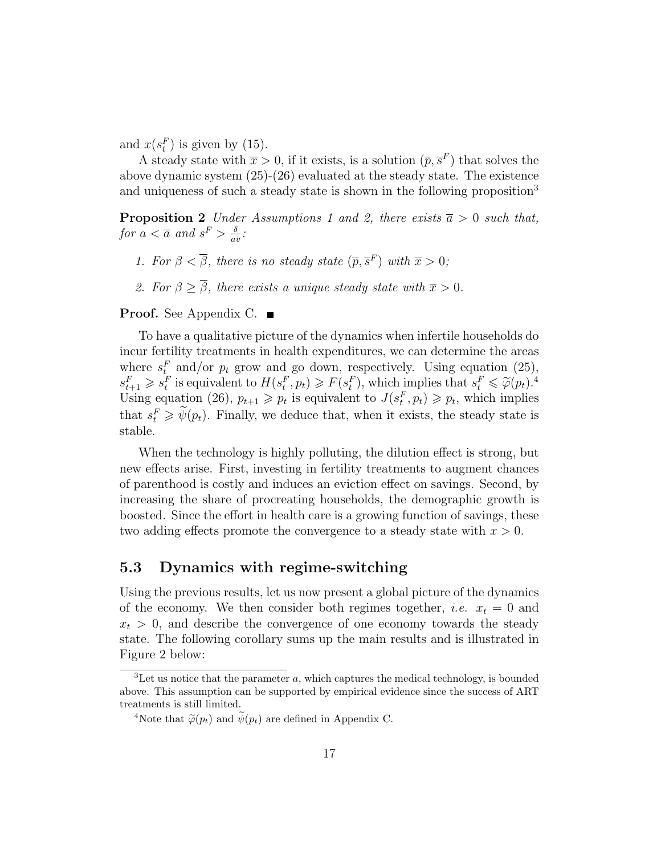and  $x(s_t^F)$  is given by (15).

A steady state with  $\bar{x} > 0$ , if it exists, is a solution  $(\bar{p}, \bar{s}^F)$  that solves the above dynamic system (25)-(26) evaluated at the steady state. The existence and uniqueness of such a steady state is shown in the following proposition<sup>3</sup>

**Proposition 2** Under Assumptions 1 and 2, there exists  $\bar{a} > 0$  such that, for  $a < \overline{a}$  and  $s^F > \frac{\delta}{a^2}$  $\frac{\delta}{av}$ :

- 1. For  $\beta < \overline{\beta}$ , there is no steady state  $(\overline{p}, \overline{s}^F)$  with  $\overline{x} > 0$ ;
- 2. For  $\beta \geq \overline{\beta}$ , there exists a unique steady state with  $\overline{x} > 0$ .

### **Proof.** See Appendix C. ■

To have a qualitative picture of the dynamics when infertile households do incur fertility treatments in health expenditures, we can determine the areas where  $s_t^F$  and/or  $p_t$  grow and go down, respectively. Using equation (25),  $s_{t+1}^F \geqslant s_t^F$  is equivalent to  $H(s_t^F, p_t) \geqslant F(s_t^F)$ , which implies that  $s_t^F \leqslant \tilde{\varphi}(p_t)^{A}$ .<br>Using equation (26),  $p_{t+1} \geqslant p_t$  is equivalent to  $J(s_t^F, p_t) \geqslant p_t$ , which implies that  $s_t^F \ge \tilde{\psi}(p_t)$ . Finally, we deduce that, when it exists, the steady state is stable.

When the technology is highly polluting, the dilution effect is strong, but new effects arise. First, investing in fertility treatments to augment chances of parenthood is costly and induces an eviction effect on savings. Second, by increasing the share of procreating households, the demographic growth is boosted. Since the effort in health care is a growing function of savings, these two adding effects promote the convergence to a steady state with  $x > 0$ .

### 5.3 Dynamics with regime-switching

Using the previous results, let us now present a global picture of the dynamics of the economy. We then consider both regimes together, *i.e.*  $x_t = 0$  and  $x_t > 0$ , and describe the convergence of one economy towards the steady state. The following corollary sums up the main results and is illustrated in Figure 2 below:

 ${}^{3}$ Let us notice that the parameter  $a$ , which captures the medical technology, is bounded above. This assumption can be supported by empirical evidence since the success of ART treatments is still limited.

<sup>&</sup>lt;sup>4</sup>Note that  $\widetilde{\varphi}(p_t)$  and  $\widetilde{\psi}(p_t)$  are defined in Appendix C.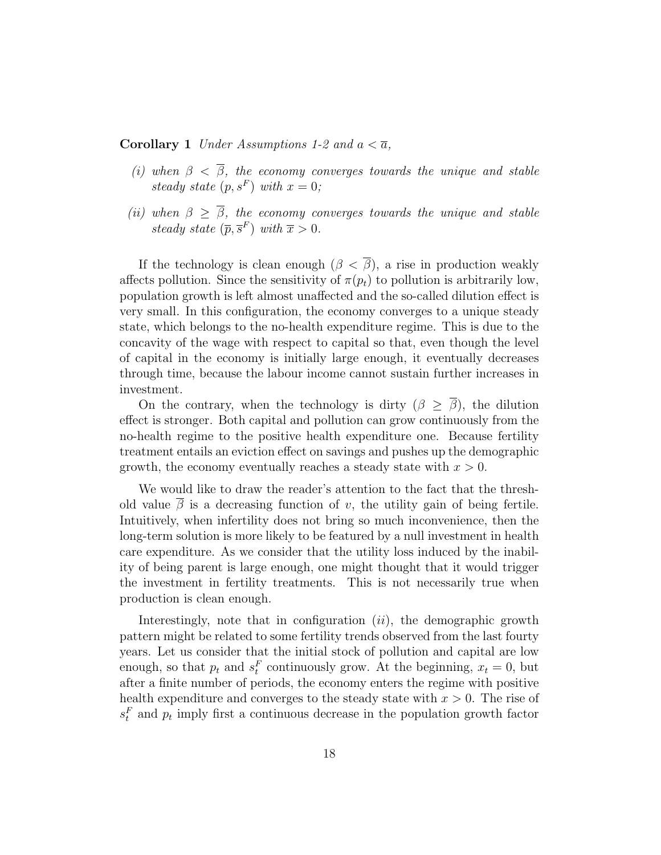**Corollary 1** Under Assumptions 1-2 and  $a < \overline{a}$ ,

- (i) when  $\beta < \overline{\beta}$ , the economy converges towards the unique and stable steady state  $(p, s^F)$  with  $x = 0$ ;
- (ii) when  $\beta \geq \overline{\beta}$ , the economy converges towards the unique and stable steady state  $(\overline{p}, \overline{s}^F)$  with  $\overline{x} > 0$ .

If the technology is clean enough  $(\beta \langle \overline{\beta} \rangle)$ , a rise in production weakly affects pollution. Since the sensitivity of  $\pi(p_t)$  to pollution is arbitrarily low, population growth is left almost unaffected and the so-called dilution effect is very small. In this configuration, the economy converges to a unique steady state, which belongs to the no-health expenditure regime. This is due to the concavity of the wage with respect to capital so that, even though the level of capital in the economy is initially large enough, it eventually decreases through time, because the labour income cannot sustain further increases in investment.

On the contrary, when the technology is dirty  $(\beta \geq \overline{\beta})$ , the dilution effect is stronger. Both capital and pollution can grow continuously from the no-health regime to the positive health expenditure one. Because fertility treatment entails an eviction effect on savings and pushes up the demographic growth, the economy eventually reaches a steady state with  $x > 0$ .

We would like to draw the reader's attention to the fact that the threshold value  $\overline{\beta}$  is a decreasing function of v, the utility gain of being fertile. Intuitively, when infertility does not bring so much inconvenience, then the long-term solution is more likely to be featured by a null investment in health care expenditure. As we consider that the utility loss induced by the inability of being parent is large enough, one might thought that it would trigger the investment in fertility treatments. This is not necessarily true when production is clean enough.

Interestingly, note that in configuration  $(ii)$ , the demographic growth pattern might be related to some fertility trends observed from the last fourty years. Let us consider that the initial stock of pollution and capital are low enough, so that  $p_t$  and  $s_t^F$  continuously grow. At the beginning,  $x_t = 0$ , but after a finite number of periods, the economy enters the regime with positive health expenditure and converges to the steady state with  $x > 0$ . The rise of  $s_t^F$  and  $p_t$  imply first a continuous decrease in the population growth factor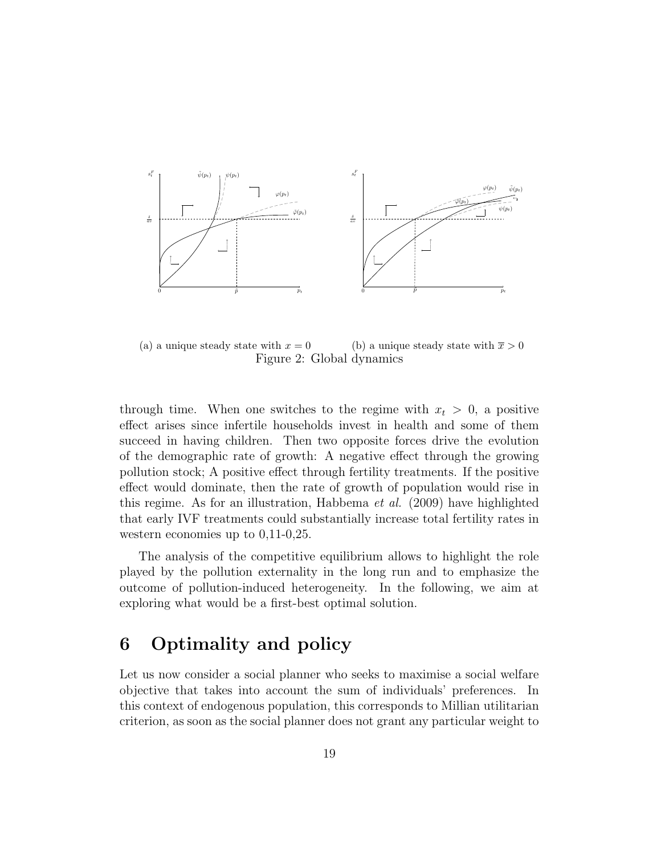

(a) a unique steady state with  $x = 0$ (b) a unique steady state with  $\bar{x} > 0$ Figure 2: Global dynamics

through time. When one switches to the regime with  $x_t > 0$ , a positive effect arises since infertile households invest in health and some of them succeed in having children. Then two opposite forces drive the evolution of the demographic rate of growth: A negative effect through the growing pollution stock; A positive effect through fertility treatments. If the positive effect would dominate, then the rate of growth of population would rise in this regime. As for an illustration, Habbema et al. (2009) have highlighted that early IVF treatments could substantially increase total fertility rates in western economies up to 0,11-0,25.

The analysis of the competitive equilibrium allows to highlight the role played by the pollution externality in the long run and to emphasize the outcome of pollution-induced heterogeneity. In the following, we aim at exploring what would be a first-best optimal solution.

# 6 Optimality and policy

Let us now consider a social planner who seeks to maximise a social welfare objective that takes into account the sum of individuals' preferences. In this context of endogenous population, this corresponds to Millian utilitarian criterion, as soon as the social planner does not grant any particular weight to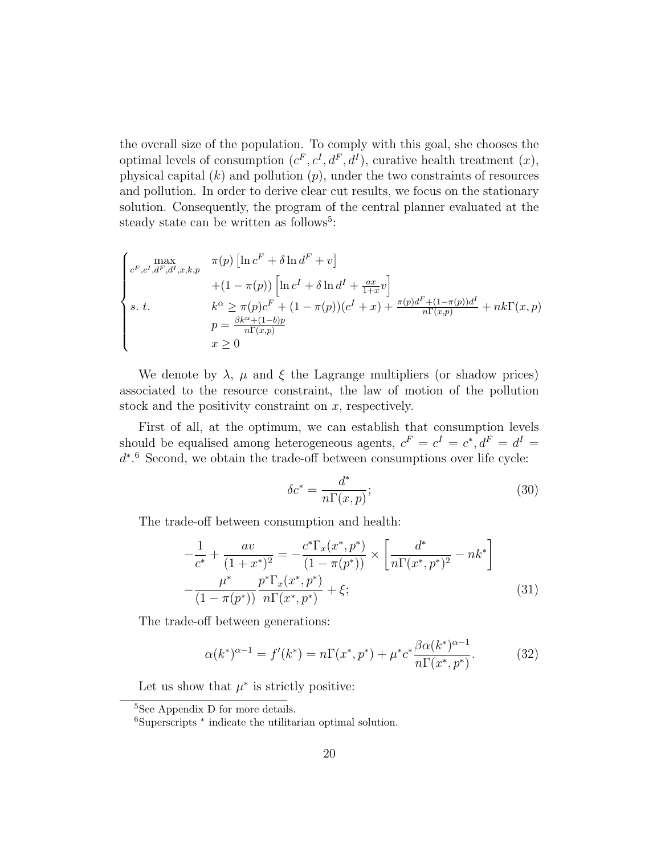the overall size of the population. To comply with this goal, she chooses the optimal levels of consumption  $(c^F, c^I, d^F, d^I)$ , curative health treatment  $(x)$ , physical capital  $(k)$  and pollution  $(p)$ , under the two constraints of resources and pollution. In order to derive clear cut results, we focus on the stationary solution. Consequently, the program of the central planner evaluated at the steady state can be written as follows<sup>5</sup>:

$$
\begin{cases}\n\max_{c^F, c^I, d^F, d^I, x, k, p} & \pi(p) \left[ \ln c^F + \delta \ln d^F + v \right] \\
+ (1 - \pi(p)) \left[ \ln c^I + \delta \ln d^I + \frac{ax}{1+x} v \right] \\
s. \ t. & k^{\alpha} \ge \pi(p) c^F + (1 - \pi(p))(c^I + x) + \frac{\pi(p) d^F + (1 - \pi(p)) d^I}{n \Gamma(x, p)} + nk \Gamma(x, p) \\
p = \frac{\beta k^{\alpha} + (1 - b)p}{n \Gamma(x, p)} \\
x \ge 0\n\end{cases}
$$

We denote by  $\lambda$ ,  $\mu$  and  $\xi$  the Lagrange multipliers (or shadow prices) associated to the resource constraint, the law of motion of the pollution stock and the positivity constraint on  $x$ , respectively.

First of all, at the optimum, we can establish that consumption levels should be equalised among heterogeneous agents,  $c^F = c^I = c^*, d^F = d^I =$ d ∗ . <sup>6</sup> Second, we obtain the trade-off between consumptions over life cycle:

$$
\delta c^* = \frac{d^*}{n\Gamma(x, p)};\tag{30}
$$

The trade-off between consumption and health:

$$
-\frac{1}{c^*} + \frac{av}{(1+x^*)^2} = -\frac{c^*\Gamma_x(x^*,p^*)}{(1-\pi(p^*))} \times \left[\frac{d^*}{n\Gamma(x^*,p^*)^2} - nk^*\right] -\frac{\mu^*}{(1-\pi(p^*))}\frac{p^*\Gamma_x(x^*,p^*)}{n\Gamma(x^*,p^*)} + \xi;
$$
(31)

The trade-off between generations:

$$
\alpha(k^*)^{\alpha-1} = f'(k^*) = n\Gamma(x^*, p^*) + \mu^* c^* \frac{\beta \alpha(k^*)^{\alpha-1}}{n\Gamma(x^*, p^*)}.
$$
 (32)

Let us show that  $\mu^*$  is strictly positive:

<sup>&</sup>lt;sup>5</sup>See Appendix D for more details.

<sup>6</sup>Superscripts <sup>∗</sup> indicate the utilitarian optimal solution.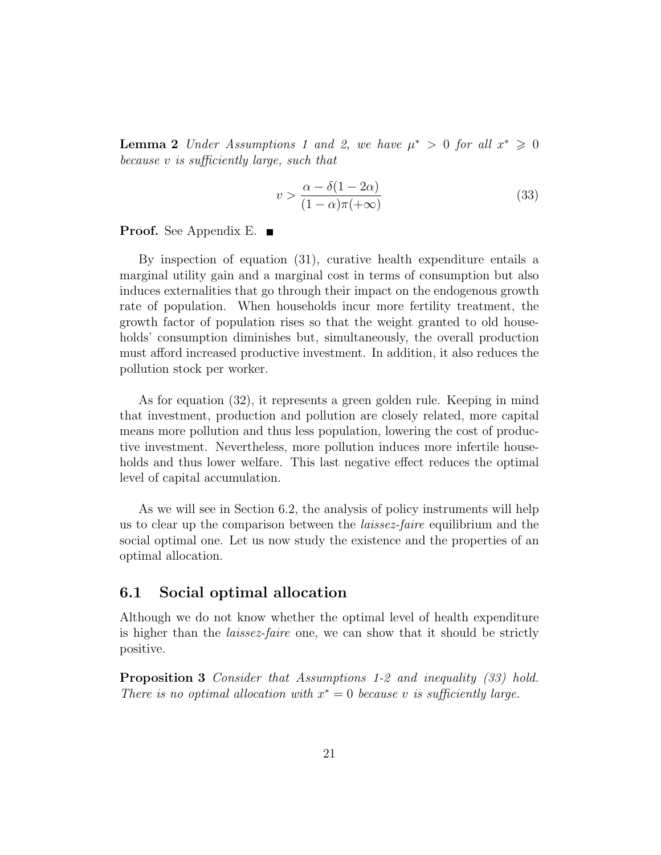**Lemma 2** Under Assumptions 1 and 2, we have  $\mu^* > 0$  for all  $x^* \geq 0$ because v is sufficiently large, such that

$$
v > \frac{\alpha - \delta(1 - 2\alpha)}{(1 - \alpha)\pi(+\infty)}
$$
(33)

**Proof.** See Appendix E. ■

By inspection of equation (31), curative health expenditure entails a marginal utility gain and a marginal cost in terms of consumption but also induces externalities that go through their impact on the endogenous growth rate of population. When households incur more fertility treatment, the growth factor of population rises so that the weight granted to old households' consumption diminishes but, simultaneously, the overall production must afford increased productive investment. In addition, it also reduces the pollution stock per worker.

As for equation (32), it represents a green golden rule. Keeping in mind that investment, production and pollution are closely related, more capital means more pollution and thus less population, lowering the cost of productive investment. Nevertheless, more pollution induces more infertile households and thus lower welfare. This last negative effect reduces the optimal level of capital accumulation.

As we will see in Section 6.2, the analysis of policy instruments will help us to clear up the comparison between the laissez-faire equilibrium and the social optimal one. Let us now study the existence and the properties of an optimal allocation.

### 6.1 Social optimal allocation

Although we do not know whether the optimal level of health expenditure is higher than the *laissez-faire* one, we can show that it should be strictly positive.

**Proposition 3** Consider that Assumptions 1-2 and inequality (33) hold. There is no optimal allocation with  $x^* = 0$  because v is sufficiently large.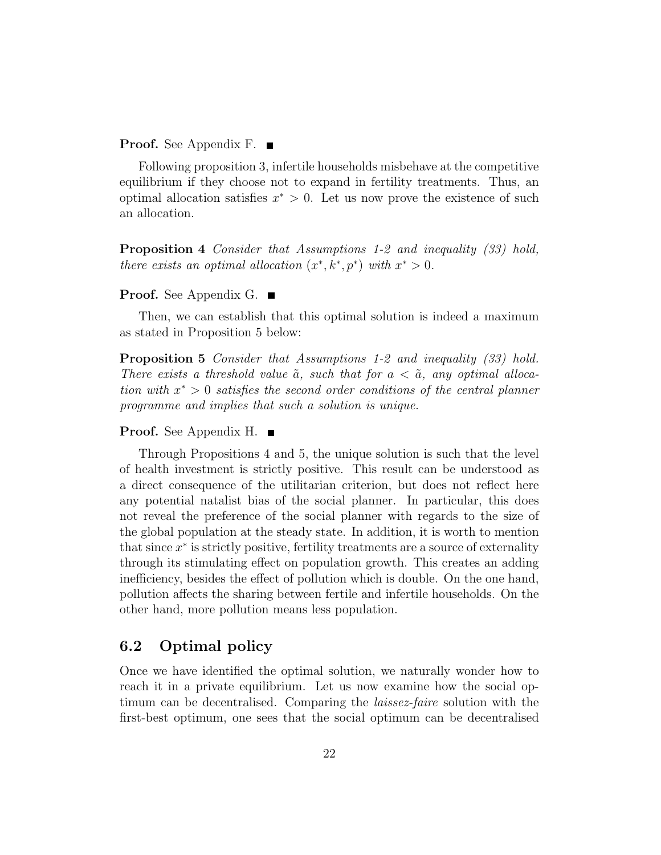#### **Proof.** See Appendix F. ■

Following proposition 3, infertile households misbehave at the competitive equilibrium if they choose not to expand in fertility treatments. Thus, an optimal allocation satisfies  $x^* > 0$ . Let us now prove the existence of such an allocation.

Proposition 4 Consider that Assumptions 1-2 and inequality (33) hold, there exists an optimal allocation  $(x^*, k^*, p^*)$  with  $x^* > 0$ .

#### **Proof.** See Appendix G. ■

Then, we can establish that this optimal solution is indeed a maximum as stated in Proposition 5 below:

**Proposition 5** Consider that Assumptions 1-2 and inequality (33) hold. There exists a threshold value  $\tilde{a}$ , such that for  $a < \tilde{a}$ , any optimal allocation with  $x^* > 0$  satisfies the second order conditions of the central planner programme and implies that such a solution is unique.

#### Proof. See Appendix H.

Through Propositions 4 and 5, the unique solution is such that the level of health investment is strictly positive. This result can be understood as a direct consequence of the utilitarian criterion, but does not reflect here any potential natalist bias of the social planner. In particular, this does not reveal the preference of the social planner with regards to the size of the global population at the steady state. In addition, it is worth to mention that since  $x^*$  is strictly positive, fertility treatments are a source of externality through its stimulating effect on population growth. This creates an adding inefficiency, besides the effect of pollution which is double. On the one hand, pollution affects the sharing between fertile and infertile households. On the other hand, more pollution means less population.

### 6.2 Optimal policy

Once we have identified the optimal solution, we naturally wonder how to reach it in a private equilibrium. Let us now examine how the social optimum can be decentralised. Comparing the laissez-faire solution with the first-best optimum, one sees that the social optimum can be decentralised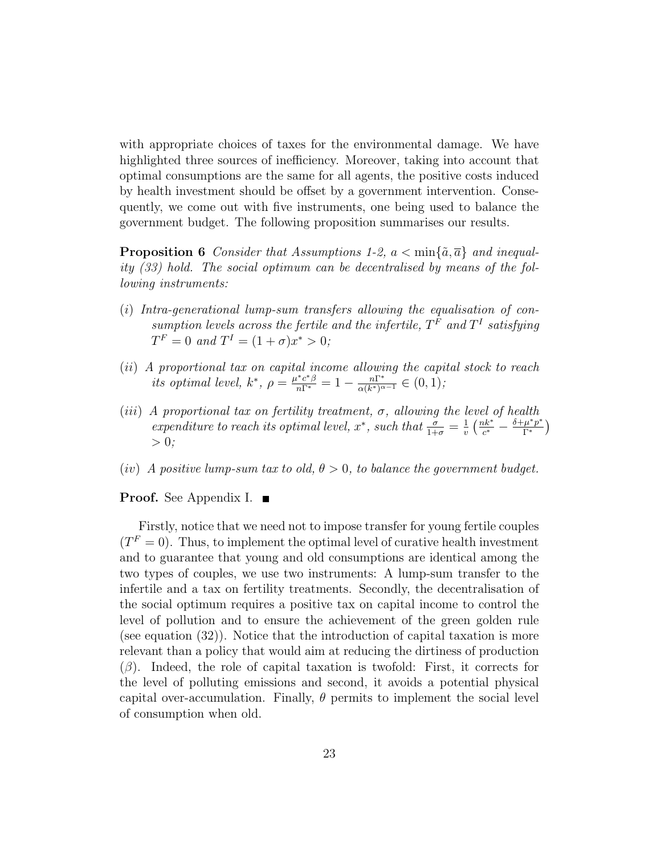with appropriate choices of taxes for the environmental damage. We have highlighted three sources of inefficiency. Moreover, taking into account that optimal consumptions are the same for all agents, the positive costs induced by health investment should be offset by a government intervention. Consequently, we come out with five instruments, one being used to balance the government budget. The following proposition summarises our results.

**Proposition 6** Consider that Assumptions 1-2,  $a < \min\{\tilde{a}, \overline{a}\}\$  and inequality (33) hold. The social optimum can be decentralised by means of the following instruments:

- (i) Intra-generational lump-sum transfers allowing the equalisation of consumption levels across the fertile and the infertile,  $T<sup>F</sup>$  and  $T<sup>I</sup>$  satisfying  $T^F = 0$  and  $T^I = (1 + \sigma)x^* > 0;$
- (ii) A proportional tax on capital income allowing the capital stock to reach its optimal level,  $k^*$ ,  $\rho = \frac{\mu^* c^* \beta}{n \Gamma^*} = 1 - \frac{n \Gamma^*}{\alpha (k^*)^{\alpha}}$  $\frac{n\Gamma^*}{\alpha(k^*)^{\alpha-1}}\in(0,1);$
- (iii) A proportional tax on fertility treatment,  $\sigma$ , allowing the level of health expenditure to reach its optimal level,  $x^*$ , such that  $\frac{\sigma}{1+\sigma} = \frac{1}{v}$  $rac{1}{v}$   $\left(\frac{nk^*}{c^*}\right)$  $\frac{bk^*}{c^*} - \frac{\delta + \mu^* p^*}{\Gamma^*}$  $\frac{\mu^*p^*}{\Gamma^*}$  $> 0$ ;
- (iv) A positive lump-sum tax to old,  $\theta > 0$ , to balance the government budget.

#### **Proof.** See Appendix I. ■

Firstly, notice that we need not to impose transfer for young fertile couples  $(T<sup>F</sup> = 0)$ . Thus, to implement the optimal level of curative health investment and to guarantee that young and old consumptions are identical among the two types of couples, we use two instruments: A lump-sum transfer to the infertile and a tax on fertility treatments. Secondly, the decentralisation of the social optimum requires a positive tax on capital income to control the level of pollution and to ensure the achievement of the green golden rule (see equation (32)). Notice that the introduction of capital taxation is more relevant than a policy that would aim at reducing the dirtiness of production  $(\beta)$ . Indeed, the role of capital taxation is twofold: First, it corrects for the level of polluting emissions and second, it avoids a potential physical capital over-accumulation. Finally,  $\theta$  permits to implement the social level of consumption when old.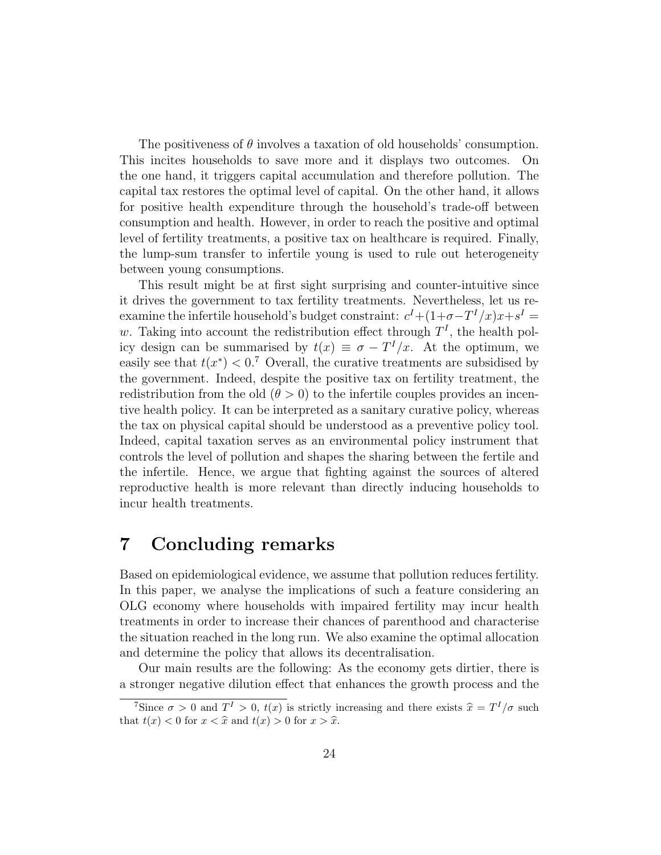The positiveness of  $\theta$  involves a taxation of old households' consumption. This incites households to save more and it displays two outcomes. On the one hand, it triggers capital accumulation and therefore pollution. The capital tax restores the optimal level of capital. On the other hand, it allows for positive health expenditure through the household's trade-off between consumption and health. However, in order to reach the positive and optimal level of fertility treatments, a positive tax on healthcare is required. Finally, the lump-sum transfer to infertile young is used to rule out heterogeneity between young consumptions.

This result might be at first sight surprising and counter-intuitive since it drives the government to tax fertility treatments. Nevertheless, let us reexamine the infertile household's budget constraint:  $c^I + (1 + \sigma - T^I/x)x + s^I =$ w. Taking into account the redistribution effect through  $T<sup>I</sup>$ , the health policy design can be summarised by  $t(x) \equiv \sigma - T^{I}/x$ . At the optimum, we easily see that  $t(x^*) < 0$ .<sup>7</sup> Overall, the curative treatments are subsidised by the government. Indeed, despite the positive tax on fertility treatment, the redistribution from the old  $(\theta > 0)$  to the infertile couples provides an incentive health policy. It can be interpreted as a sanitary curative policy, whereas the tax on physical capital should be understood as a preventive policy tool. Indeed, capital taxation serves as an environmental policy instrument that controls the level of pollution and shapes the sharing between the fertile and the infertile. Hence, we argue that fighting against the sources of altered reproductive health is more relevant than directly inducing households to incur health treatments.

# 7 Concluding remarks

Based on epidemiological evidence, we assume that pollution reduces fertility. In this paper, we analyse the implications of such a feature considering an OLG economy where households with impaired fertility may incur health treatments in order to increase their chances of parenthood and characterise the situation reached in the long run. We also examine the optimal allocation and determine the policy that allows its decentralisation.

Our main results are the following: As the economy gets dirtier, there is a stronger negative dilution effect that enhances the growth process and the

<sup>&</sup>lt;sup>7</sup>Since  $\sigma > 0$  and  $T^I > 0$ ,  $t(x)$  is strictly increasing and there exists  $\hat{x} = T^I/\sigma$  such  $t^I(x) < 0$  for  $x < \hat{x}$  and  $t(x) > 0$  for  $x > \hat{x}$ . that  $t(x) < 0$  for  $x < \hat{x}$  and  $t(x) > 0$  for  $x > \hat{x}$ .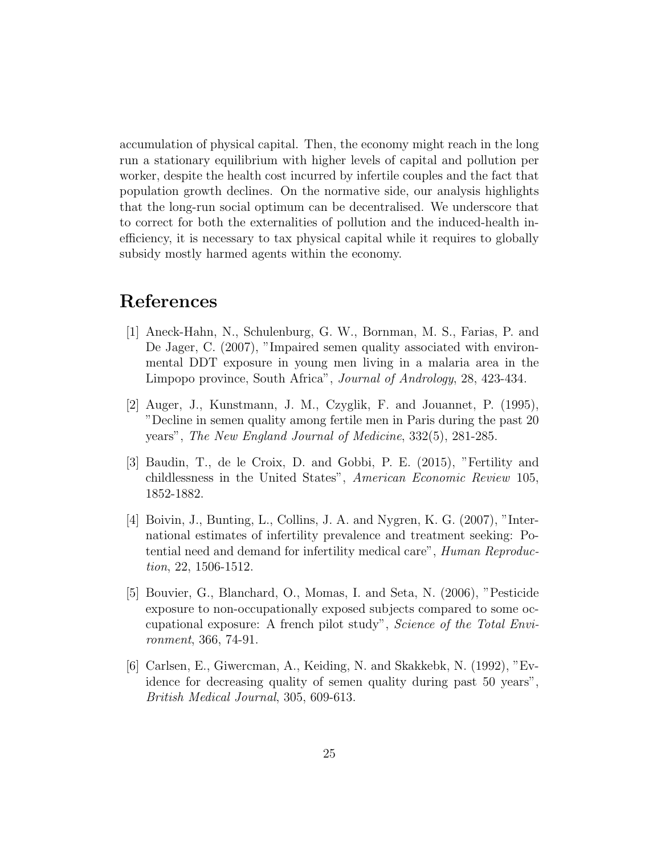accumulation of physical capital. Then, the economy might reach in the long run a stationary equilibrium with higher levels of capital and pollution per worker, despite the health cost incurred by infertile couples and the fact that population growth declines. On the normative side, our analysis highlights that the long-run social optimum can be decentralised. We underscore that to correct for both the externalities of pollution and the induced-health inefficiency, it is necessary to tax physical capital while it requires to globally subsidy mostly harmed agents within the economy.

# References

- [1] Aneck-Hahn, N., Schulenburg, G. W., Bornman, M. S., Farias, P. and De Jager, C. (2007), "Impaired semen quality associated with environmental DDT exposure in young men living in a malaria area in the Limpopo province, South Africa", Journal of Andrology, 28, 423-434.
- [2] Auger, J., Kunstmann, J. M., Czyglik, F. and Jouannet, P. (1995), "Decline in semen quality among fertile men in Paris during the past 20 years", The New England Journal of Medicine, 332(5), 281-285.
- [3] Baudin, T., de le Croix, D. and Gobbi, P. E. (2015), "Fertility and childlessness in the United States", American Economic Review 105, 1852-1882.
- [4] Boivin, J., Bunting, L., Collins, J. A. and Nygren, K. G. (2007), "International estimates of infertility prevalence and treatment seeking: Potential need and demand for infertility medical care", Human Reproduction, 22, 1506-1512.
- [5] Bouvier, G., Blanchard, O., Momas, I. and Seta, N. (2006), "Pesticide exposure to non-occupationally exposed subjects compared to some occupational exposure: A french pilot study", Science of the Total Environment, 366, 74-91.
- [6] Carlsen, E., Giwercman, A., Keiding, N. and Skakkebk, N. (1992), "Evidence for decreasing quality of semen quality during past 50 years", British Medical Journal, 305, 609-613.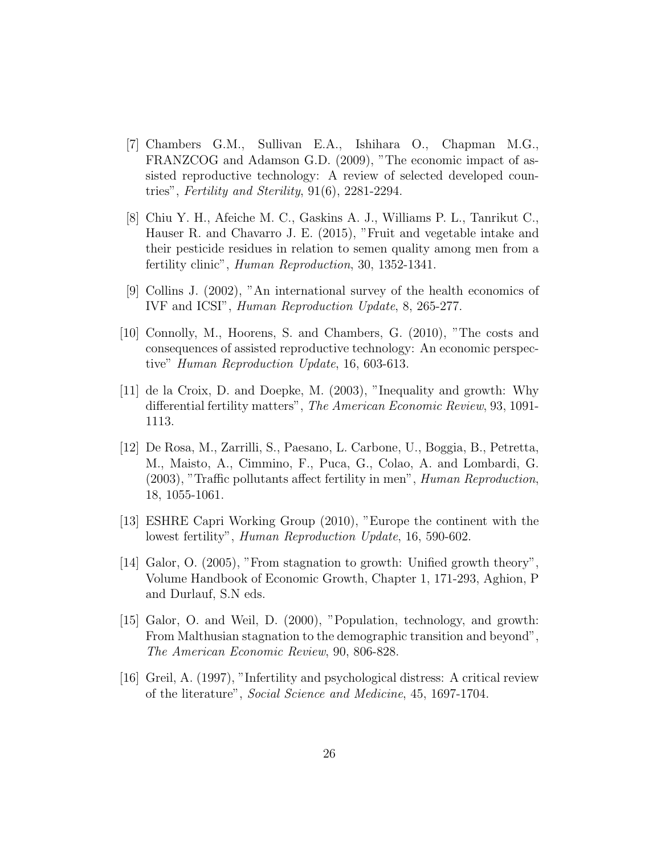- [7] Chambers G.M., Sullivan E.A., Ishihara O., Chapman M.G., FRANZCOG and Adamson G.D. (2009), "The economic impact of assisted reproductive technology: A review of selected developed countries", Fertility and Sterility, 91(6), 2281-2294.
- [8] Chiu Y. H., Afeiche M. C., Gaskins A. J., Williams P. L., Tanrikut C., Hauser R. and Chavarro J. E. (2015), "Fruit and vegetable intake and their pesticide residues in relation to semen quality among men from a fertility clinic", Human Reproduction, 30, 1352-1341.
- [9] Collins J. (2002), "An international survey of the health economics of IVF and ICSI", Human Reproduction Update, 8, 265-277.
- [10] Connolly, M., Hoorens, S. and Chambers, G. (2010), "The costs and consequences of assisted reproductive technology: An economic perspective" Human Reproduction Update, 16, 603-613.
- [11] de la Croix, D. and Doepke, M. (2003), "Inequality and growth: Why differential fertility matters", The American Economic Review, 93, 1091- 1113.
- [12] De Rosa, M., Zarrilli, S., Paesano, L. Carbone, U., Boggia, B., Petretta, M., Maisto, A., Cimmino, F., Puca, G., Colao, A. and Lombardi, G. (2003), "Traffic pollutants affect fertility in men", Human Reproduction, 18, 1055-1061.
- [13] ESHRE Capri Working Group (2010), "Europe the continent with the lowest fertility", Human Reproduction Update, 16, 590-602.
- [14] Galor, O. (2005), "From stagnation to growth: Unified growth theory", Volume Handbook of Economic Growth, Chapter 1, 171-293, Aghion, P and Durlauf, S.N eds.
- [15] Galor, O. and Weil, D. (2000), "Population, technology, and growth: From Malthusian stagnation to the demographic transition and beyond", The American Economic Review, 90, 806-828.
- [16] Greil, A. (1997), "Infertility and psychological distress: A critical review of the literature", Social Science and Medicine, 45, 1697-1704.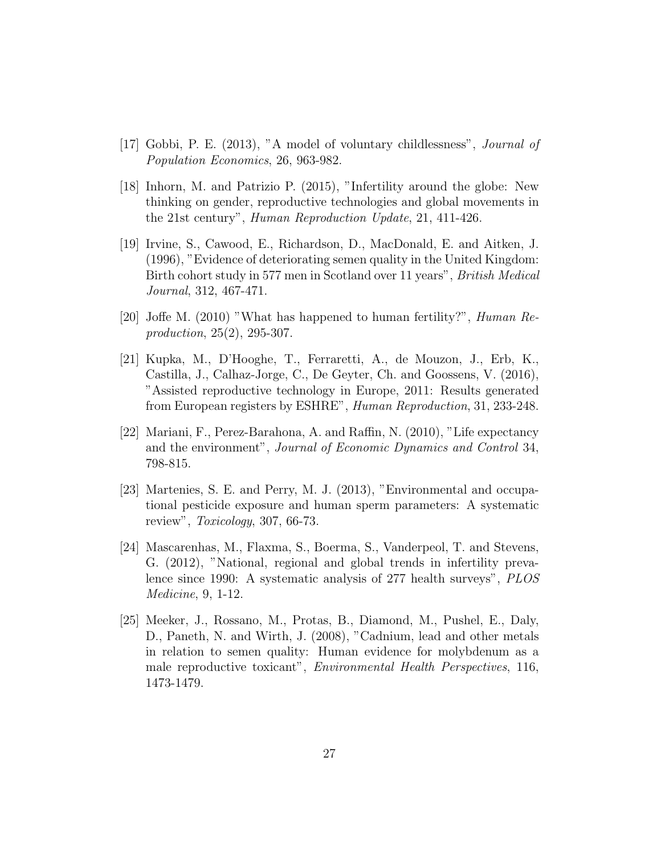- [17] Gobbi, P. E. (2013), "A model of voluntary childlessness", Journal of Population Economics, 26, 963-982.
- [18] Inhorn, M. and Patrizio P. (2015), "Infertility around the globe: New thinking on gender, reproductive technologies and global movements in the 21st century", Human Reproduction Update, 21, 411-426.
- [19] Irvine, S., Cawood, E., Richardson, D., MacDonald, E. and Aitken, J. (1996), "Evidence of deteriorating semen quality in the United Kingdom: Birth cohort study in 577 men in Scotland over 11 years", British Medical Journal, 312, 467-471.
- [20] Joffe M. (2010) "What has happened to human fertility?", Human Reproduction, 25(2), 295-307.
- [21] Kupka, M., D'Hooghe, T., Ferraretti, A., de Mouzon, J., Erb, K., Castilla, J., Calhaz-Jorge, C., De Geyter, Ch. and Goossens, V. (2016), "Assisted reproductive technology in Europe, 2011: Results generated from European registers by ESHRE", Human Reproduction, 31, 233-248.
- [22] Mariani, F., Perez-Barahona, A. and Raffin, N. (2010), "Life expectancy and the environment", Journal of Economic Dynamics and Control 34, 798-815.
- [23] Martenies, S. E. and Perry, M. J. (2013), "Environmental and occupational pesticide exposure and human sperm parameters: A systematic review", Toxicology, 307, 66-73.
- [24] Mascarenhas, M., Flaxma, S., Boerma, S., Vanderpeol, T. and Stevens, G. (2012), "National, regional and global trends in infertility prevalence since 1990: A systematic analysis of 277 health surveys", PLOS Medicine, 9, 1-12.
- [25] Meeker, J., Rossano, M., Protas, B., Diamond, M., Pushel, E., Daly, D., Paneth, N. and Wirth, J. (2008), "Cadnium, lead and other metals in relation to semen quality: Human evidence for molybdenum as a male reproductive toxicant", Environmental Health Perspectives, 116, 1473-1479.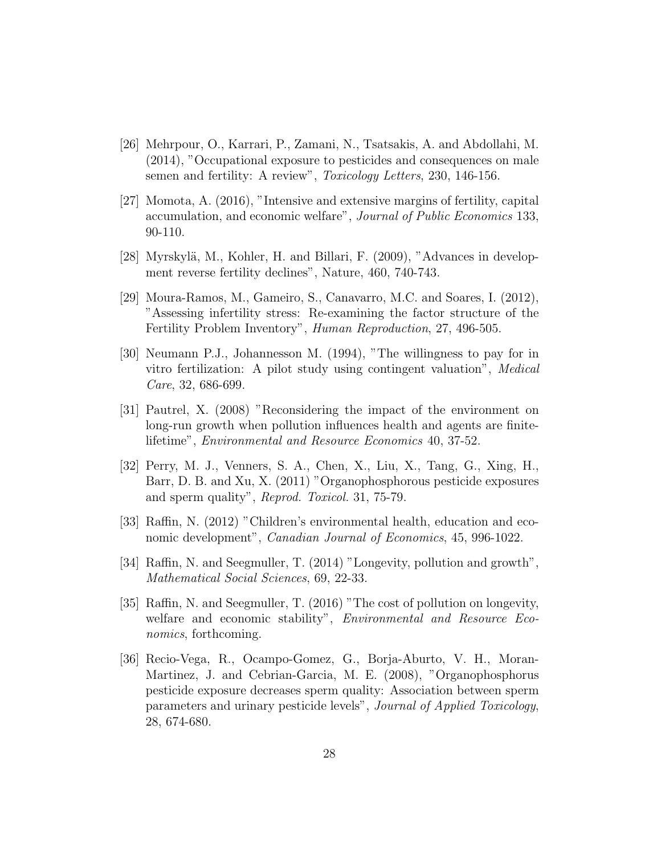- [26] Mehrpour, O., Karrari, P., Zamani, N., Tsatsakis, A. and Abdollahi, M. (2014), "Occupational exposure to pesticides and consequences on male semen and fertility: A review", *Toxicology Letters*, 230, 146-156.
- [27] Momota, A. (2016), "Intensive and extensive margins of fertility, capital accumulation, and economic welfare", Journal of Public Economics 133, 90-110.
- [28] Myrskylä, M., Kohler, H. and Billari, F.  $(2009)$ , "Advances in development reverse fertility declines", Nature, 460, 740-743.
- [29] Moura-Ramos, M., Gameiro, S., Canavarro, M.C. and Soares, I. (2012), "Assessing infertility stress: Re-examining the factor structure of the Fertility Problem Inventory", Human Reproduction, 27, 496-505.
- [30] Neumann P.J., Johannesson M. (1994), "The willingness to pay for in vitro fertilization: A pilot study using contingent valuation", Medical Care, 32, 686-699.
- [31] Pautrel, X. (2008) "Reconsidering the impact of the environment on long-run growth when pollution influences health and agents are finitelifetime", Environmental and Resource Economics 40, 37-52.
- [32] Perry, M. J., Venners, S. A., Chen, X., Liu, X., Tang, G., Xing, H., Barr, D. B. and Xu, X. (2011) "Organophosphorous pesticide exposures and sperm quality", Reprod. Toxicol. 31, 75-79.
- [33] Raffin, N. (2012) "Children's environmental health, education and economic development", *Canadian Journal of Economics*, 45, 996-1022.
- [34] Raffin, N. and Seegmuller, T. (2014) "Longevity, pollution and growth", Mathematical Social Sciences, 69, 22-33.
- [35] Raffin, N. and Seegmuller, T. (2016) "The cost of pollution on longevity, welfare and economic stability", *Environmental and Resource Eco*nomics, forthcoming.
- [36] Recio-Vega, R., Ocampo-Gomez, G., Borja-Aburto, V. H., Moran-Martinez, J. and Cebrian-Garcia, M. E. (2008), "Organophosphorus pesticide exposure decreases sperm quality: Association between sperm parameters and urinary pesticide levels", Journal of Applied Toxicology, 28, 674-680.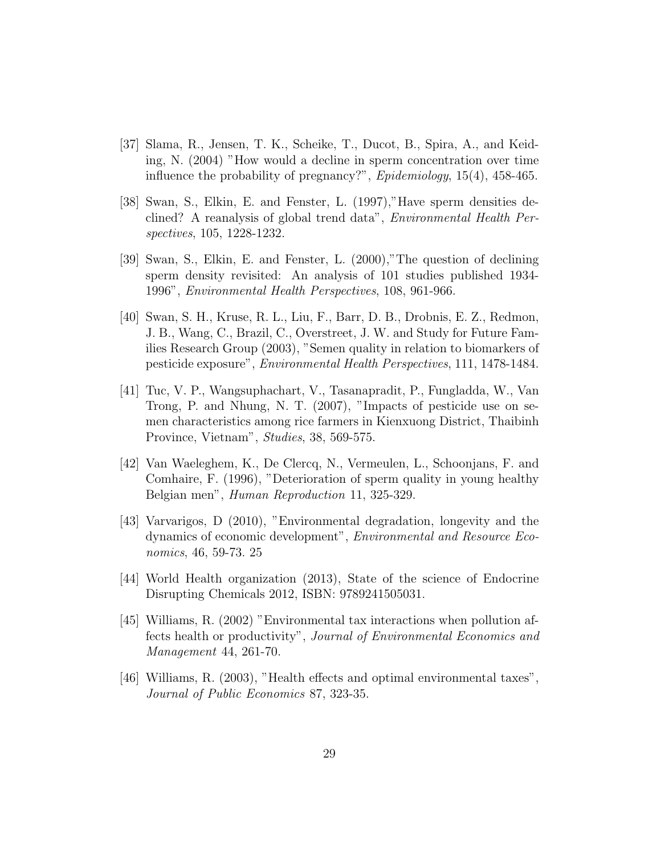- [37] Slama, R., Jensen, T. K., Scheike, T., Ducot, B., Spira, A., and Keiding, N. (2004) "How would a decline in sperm concentration over time influence the probability of pregnancy?", Epidemiology, 15(4), 458-465.
- [38] Swan, S., Elkin, E. and Fenster, L. (1997),"Have sperm densities declined? A reanalysis of global trend data", Environmental Health Perspectives, 105, 1228-1232.
- [39] Swan, S., Elkin, E. and Fenster, L. (2000),"The question of declining sperm density revisited: An analysis of 101 studies published 1934- 1996", Environmental Health Perspectives, 108, 961-966.
- [40] Swan, S. H., Kruse, R. L., Liu, F., Barr, D. B., Drobnis, E. Z., Redmon, J. B., Wang, C., Brazil, C., Overstreet, J. W. and Study for Future Families Research Group (2003), "Semen quality in relation to biomarkers of pesticide exposure", Environmental Health Perspectives, 111, 1478-1484.
- [41] Tuc, V. P., Wangsuphachart, V., Tasanapradit, P., Fungladda, W., Van Trong, P. and Nhung, N. T. (2007), "Impacts of pesticide use on semen characteristics among rice farmers in Kienxuong District, Thaibinh Province, Vietnam", Studies, 38, 569-575.
- [42] Van Waeleghem, K., De Clercq, N., Vermeulen, L., Schoonjans, F. and Comhaire, F. (1996), "Deterioration of sperm quality in young healthy Belgian men", Human Reproduction 11, 325-329.
- [43] Varvarigos, D (2010), "Environmental degradation, longevity and the dynamics of economic development", Environmental and Resource Economics, 46, 59-73. 25
- [44] World Health organization (2013), State of the science of Endocrine Disrupting Chemicals 2012, ISBN: 9789241505031.
- [45] Williams, R. (2002) "Environmental tax interactions when pollution affects health or productivity", Journal of Environmental Economics and Management 44, 261-70.
- [46] Williams, R. (2003), "Health effects and optimal environmental taxes", Journal of Public Economics 87, 323-35.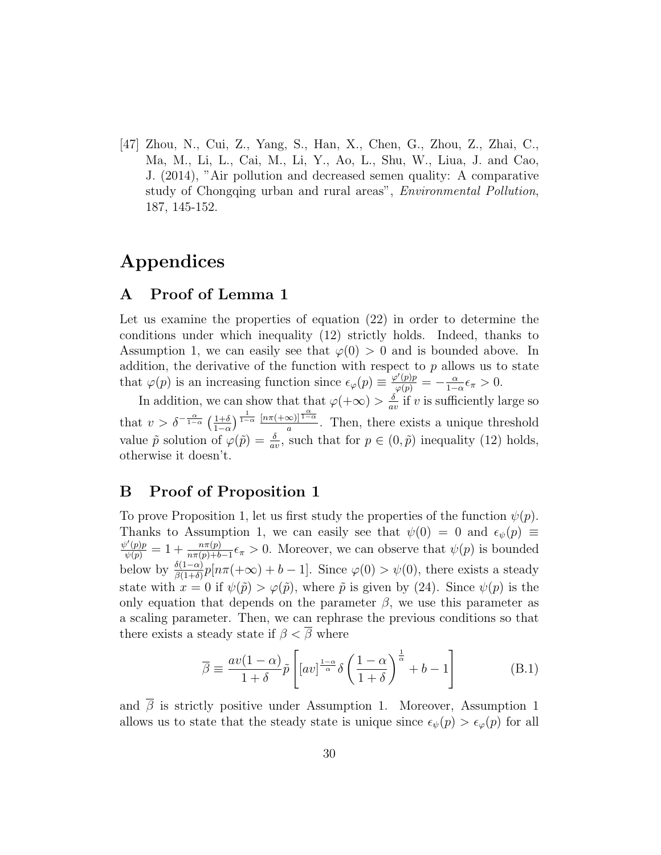[47] Zhou, N., Cui, Z., Yang, S., Han, X., Chen, G., Zhou, Z., Zhai, C., Ma, M., Li, L., Cai, M., Li, Y., Ao, L., Shu, W., Liua, J. and Cao, J. (2014), "Air pollution and decreased semen quality: A comparative study of Chongqing urban and rural areas", *Environmental Pollution*, 187, 145-152.

# Appendices

### A Proof of Lemma 1

Let us examine the properties of equation (22) in order to determine the conditions under which inequality (12) strictly holds. Indeed, thanks to Assumption 1, we can easily see that  $\varphi(0) > 0$  and is bounded above. In addition, the derivative of the function with respect to  $p$  allows us to state that  $\varphi(p)$  is an increasing function since  $\epsilon_{\varphi}(p) \equiv \frac{\varphi'(p)p}{\varphi(p)} = -\frac{\alpha}{1-p}$  $\frac{\alpha}{1-\alpha} \epsilon_{\pi} > 0.$ 

In addition, we can show that that  $\varphi(+\infty) > \frac{\delta}{a^{\alpha}}$  $\frac{\partial}{\partial v}$  if v is sufficiently large so that  $v > \delta^{-\frac{\alpha}{1-\alpha}} \left( \frac{1+\delta}{1-\alpha} \right)$  $\frac{1+\delta}{1-\alpha}$   $\frac{1}{1-\alpha}$   $\frac{\left[n\pi(+\infty)\right]\frac{\alpha}{1-\alpha}}{a}$  $\frac{\infty}{a}$ . Then, there exists a unique threshold value  $\tilde{p}$  solution of  $\varphi(\tilde{p}) = \frac{\delta}{av}$ , such that for  $p \in (0, \tilde{p})$  inequality (12) holds, otherwise it doesn't.

### B Proof of Proposition 1

To prove Proposition 1, let us first study the properties of the function  $\psi(p)$ . Thanks to Assumption 1, we can easily see that  $\psi(0) = 0$  and  $\epsilon_{\psi}(p) \equiv$  $\frac{\psi'(p)p}{\psi(p)} = 1 + \frac{n\pi(p)}{n\pi(p)+b-1}\epsilon_{\pi} > 0$ . Moreover, we can observe that  $\psi(p)$  is bounded below by  $\frac{\delta(1-\alpha)}{\beta(1+\delta)}p[n\pi(+\infty)+b-1]$ . Since  $\varphi(0) > \psi(0)$ , there exists a steady state with  $x = 0$  if  $\psi(\tilde{p}) > \varphi(\tilde{p})$ , where  $\tilde{p}$  is given by (24). Since  $\psi(p)$  is the only equation that depends on the parameter  $\beta$ , we use this parameter as a scaling parameter. Then, we can rephrase the previous conditions so that there exists a steady state if  $\beta < \overline{\beta}$  where

$$
\overline{\beta} \equiv \frac{av(1-\alpha)}{1+\delta} \tilde{p} \left[ [av]^{\frac{1-\alpha}{\alpha}} \delta \left( \frac{1-\alpha}{1+\delta} \right)^{\frac{1}{\alpha}} + b - 1 \right]
$$
(B.1)

and  $\overline{\beta}$  is strictly positive under Assumption 1. Moreover, Assumption 1 allows us to state that the steady state is unique since  $\epsilon_{\psi}(p) > \epsilon_{\varphi}(p)$  for all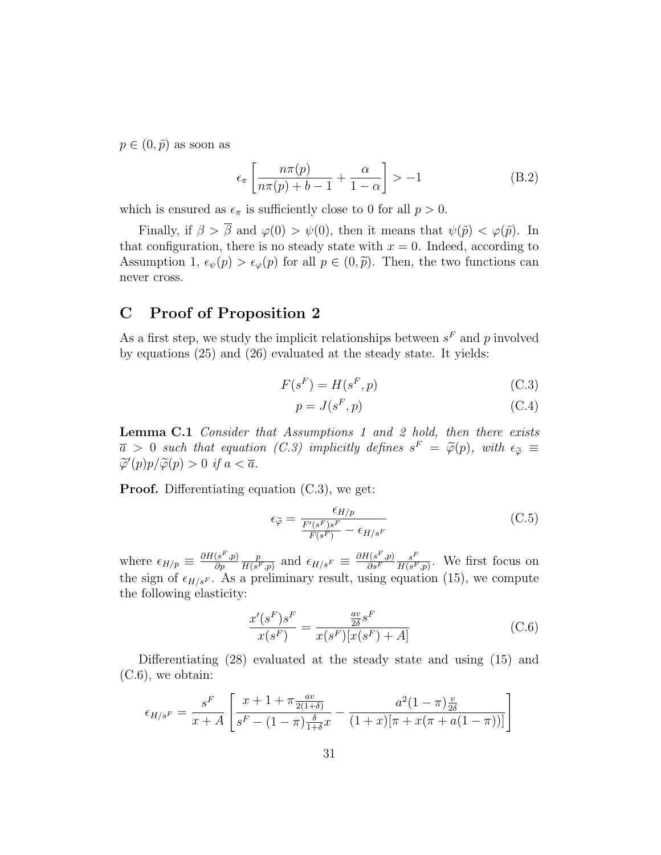$p \in (0, \tilde{p})$  as soon as

$$
\epsilon_{\pi} \left[ \frac{n\pi(p)}{n\pi(p) + b - 1} + \frac{\alpha}{1 - \alpha} \right] > -1
$$
 (B.2)

which is ensured as  $\epsilon_{\pi}$  is sufficiently close to 0 for all  $p > 0$ .

Finally, if  $\beta > \overline{\beta}$  and  $\varphi(0) > \psi(0)$ , then it means that  $\psi(\tilde{p}) < \varphi(\tilde{p})$ . In that configuration, there is no steady state with  $x = 0$ . Indeed, according to Assumption 1,  $\epsilon_{\psi}(p) > \epsilon_{\varphi}(p)$  for all  $p \in (0, \tilde{p})$ . Then, the two functions can never cross.

### C Proof of Proposition 2

As a first step, we study the implicit relationships between  $s<sup>F</sup>$  and p involved by equations (25) and (26) evaluated at the steady state. It yields:

$$
F(s^F) = H(s^F, p)
$$
\n(C.3)

$$
p = J(s^F, p) \tag{C.4}
$$

Lemma C.1 Consider that Assumptions 1 and 2 hold, then there exists  $\overline{a} > 0$  such that equation (C.3) implicitly defines  $s^F = \widetilde{\varphi}(p)$ , with  $\epsilon_{\widetilde{\varphi}} \equiv \widetilde{\varphi}(p) \circ \widetilde{\varphi}(p) \circ \widetilde{\varphi}(p) > 0$  if  $a \leq \overline{a}$  $\widetilde{\varphi}'(p)p/\widetilde{\varphi}(p) > 0$  if  $a < \overline{a}$ .

Proof. Differentiating equation (C.3), we get:

$$
\epsilon_{\tilde{\varphi}} = \frac{\epsilon_{H/p}}{\frac{F'(s^F)s^F}{F(s^F)} - \epsilon_{H/s^F}}
$$
(C.5)

where  $\epsilon_{H/p} \equiv \frac{\partial H(s^F, p)}{\partial p}$ ∂p p  $\frac{p}{H(s^F,p)}$  and  $\epsilon_{H/s^F} \equiv \frac{\partial H(s^F,p)}{\partial s^F}$  $\partial s^F$  $s^F$  $\frac{s^r}{H(s^F,p)}$ . We first focus on the sign of  $\epsilon_{H/sF}$ . As a preliminary result, using equation (15), we compute the following elasticity:

$$
\frac{x'(s^F)s^F}{x(s^F)} = \frac{\frac{av}{2\delta}s^F}{x(s^F)[x(s^F) + A]}
$$
(C.6)

Differentiating (28) evaluated at the steady state and using (15) and (C.6), we obtain:

$$
\epsilon_{H/s^F} = \frac{s^F}{x+A} \left[ \frac{x+1+\pi \frac{av}{2(1+\delta)}}{s^F - (1-\pi) \frac{\delta}{1+\delta} x} - \frac{a^2(1-\pi) \frac{v}{2\delta}}{(1+x)[\pi + x(\pi + a(1-\pi))]} \right]
$$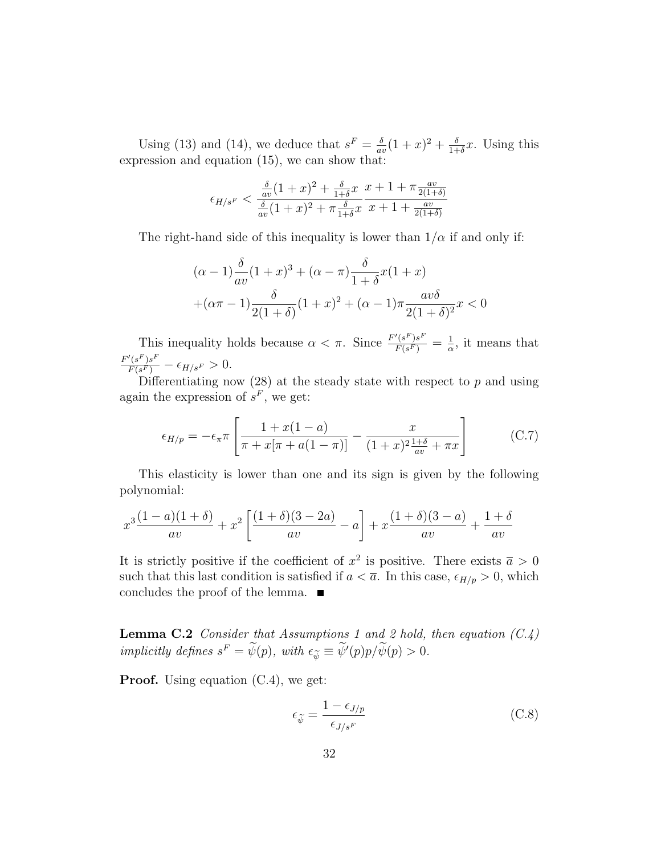Using (13) and (14), we deduce that  $s^F = \frac{\delta}{\sigma^2}$  $\frac{\delta}{av}(1+x)^2 + \frac{\delta}{1+x}$  $\frac{\delta}{1+\delta}x$ . Using this expression and equation (15), we can show that:

$$
\epsilon_{H/s^F} < \frac{\frac{\delta}{av}(1+x)^2 + \frac{\delta}{1+\delta}x}{\frac{\delta}{av}(1+x)^2 + \pi\frac{\delta}{1+\delta}x} \frac{x+1 + \pi\frac{av}{2(1+\delta)}}{x+1 + \frac{av}{2(1+\delta)}}
$$

The right-hand side of this inequality is lower than  $1/\alpha$  if and only if:

$$
(\alpha - 1)\frac{\delta}{av}(1+x)^3 + (\alpha - \pi)\frac{\delta}{1+\delta}x(1+x) + (\alpha - 1)\frac{\delta}{2(1+\delta)}(1+x)^2 + (\alpha - 1)\pi\frac{av\delta}{2(1+\delta)^2}x < 0
$$

This inequality holds because  $\alpha < \pi$ . Since  $\frac{F'(s^F)s^F}{F(s^F)} = \frac{1}{\alpha}$  $\frac{1}{\alpha}$ , it means that  $\frac{F'(s^F)s^F}{F(s^F)} - \epsilon_{H/s^F} > 0.$ 

Differentiating now  $(28)$  at the steady state with respect to p and using again the expression of  $s<sup>F</sup>$ , we get: F

$$
\epsilon_{H/p} = -\epsilon_{\pi}\pi \left[ \frac{1 + x(1 - a)}{\pi + x[\pi + a(1 - \pi)]} - \frac{x}{(1 + x)^2 \frac{1 + \delta}{av} + \pi x} \right] \tag{C.7}
$$

This elasticity is lower than one and its sign is given by the following polynomial:

$$
x^3\frac{(1-a)(1+\delta)}{av} + x^2\left[\frac{(1+\delta)(3-2a)}{av} - a\right] + x\frac{(1+\delta)(3-a)}{av} + \frac{1+\delta}{av}
$$

It is strictly positive if the coefficient of  $x^2$  is positive. There exists  $\bar{a} > 0$ such that this last condition is satisfied if  $a < \overline{a}$ . In this case,  $\epsilon_{H/p} > 0$ , which concludes the proof of the lemma.  $\blacksquare$ 

**Lemma C.2** Consider that Assumptions 1 and 2 hold, then equation  $(C.4)$ implicitly defines  $s^F = \psi(p)$ , with  $\epsilon_{\widetilde{\psi}} \equiv \psi'(p)p/\psi(p) > 0$ .

**Proof.** Using equation  $(C.4)$ , we get:

$$
\epsilon_{\widetilde{\psi}} = \frac{1 - \epsilon_{J/p}}{\epsilon_{J/s^F}}
$$
(C.8)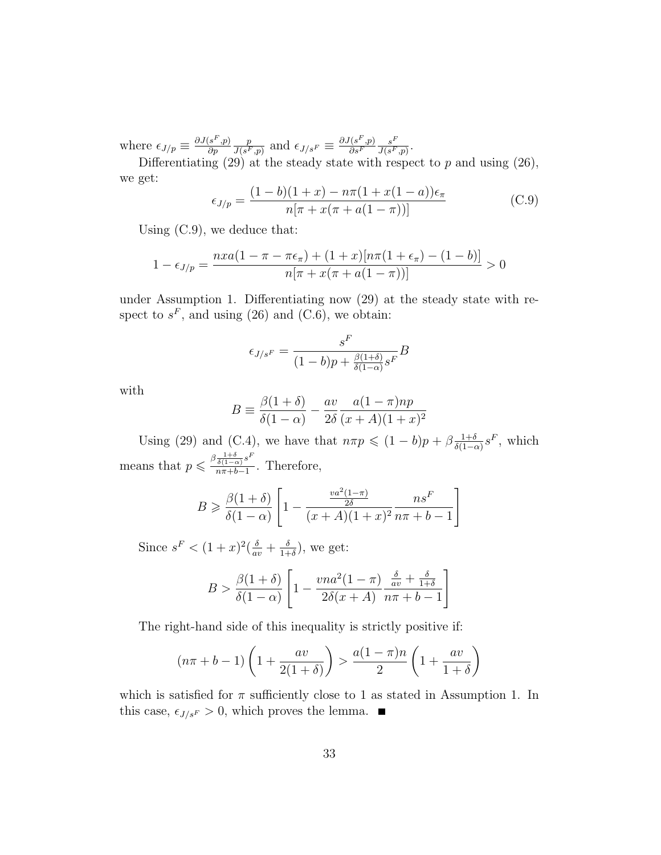where  $\epsilon_{J/p} \equiv \frac{\partial J(s^F, p)}{\partial p}$ ∂p p  $\frac{p}{J(s^F,p)}$  and  $\epsilon_{J/s^F} \equiv \frac{\partial J(s^F,p)}{\partial s^F}$  $\overline{\partial s^F}$  $s^F$  $\frac{s^x}{J(s^F,p)}$  .

Differentiating  $(29)$  at the steady state with respect to p and using  $(26)$ , we get:

$$
\epsilon_{J/p} = \frac{(1-b)(1+x) - n\pi(1+x(1-a))\epsilon_{\pi}}{n[\pi + x(\pi + a(1-\pi))]}
$$
(C.9)

Using (C.9), we deduce that:

$$
1 - \epsilon_{J/p} = \frac{nxa(1 - \pi - \pi\epsilon_{\pi}) + (1 + x)[n\pi(1 + \epsilon_{\pi}) - (1 - b)]}{n[\pi + x(\pi + a(1 - \pi))]}
$$
 > 0

under Assumption 1. Differentiating now (29) at the steady state with respect to  $s^F$ , and using (26) and (C.6), we obtain:

$$
\epsilon_{J/s^F} = \frac{s^F}{(1-b)p + \frac{\beta(1+\delta)}{\delta(1-\alpha)}s^F}B
$$

with

$$
B \equiv \frac{\beta(1+\delta)}{\delta(1-\alpha)} - \frac{av}{2\delta} \frac{a(1-\pi)np}{(x+A)(1+x)^2}
$$

Using (29) and (C.4), we have that  $n\pi p \leq (1-b)p + \beta \frac{1+\delta}{\delta(1-\epsilon)}$  $\frac{1+\delta}{\delta(1-\alpha)}s^F$ , which means that  $p \leq \frac{\beta \frac{1+\delta}{\delta(1-\alpha)} s^F}{n\pi + b - 1}$  $\frac{\delta(1-\alpha)^{\sigma}}{n\pi+b-1}$ . Therefore,

$$
B \ge \frac{\beta(1+\delta)}{\delta(1-\alpha)} \left[ 1 - \frac{\frac{va^2(1-\pi)}{2\delta}}{(x+A)(1+x)^2} \frac{n s^F}{n \pi + b - 1} \right]
$$

Since  $s^F < (1+x)^2(\frac{\delta}{av} + \frac{\delta}{1+x})$  $\frac{\delta}{1+\delta}$ , we get:

$$
B > \frac{\beta(1+\delta)}{\delta(1-\alpha)} \left[ 1 - \frac{vna^2(1-\pi)}{2\delta(x+A)} \frac{\frac{\delta}{av} + \frac{\delta}{1+\delta}}{n\pi + b - 1} \right]
$$

The right-hand side of this inequality is strictly positive if:

$$
(n\pi + b - 1)\left(1 + \frac{av}{2(1+\delta)}\right) > \frac{a(1-\pi)n}{2}\left(1 + \frac{av}{1+\delta}\right)
$$

which is satisfied for  $\pi$  sufficiently close to 1 as stated in Assumption 1. In this case,  $\epsilon_{J/s}F > 0$ , which proves the lemma.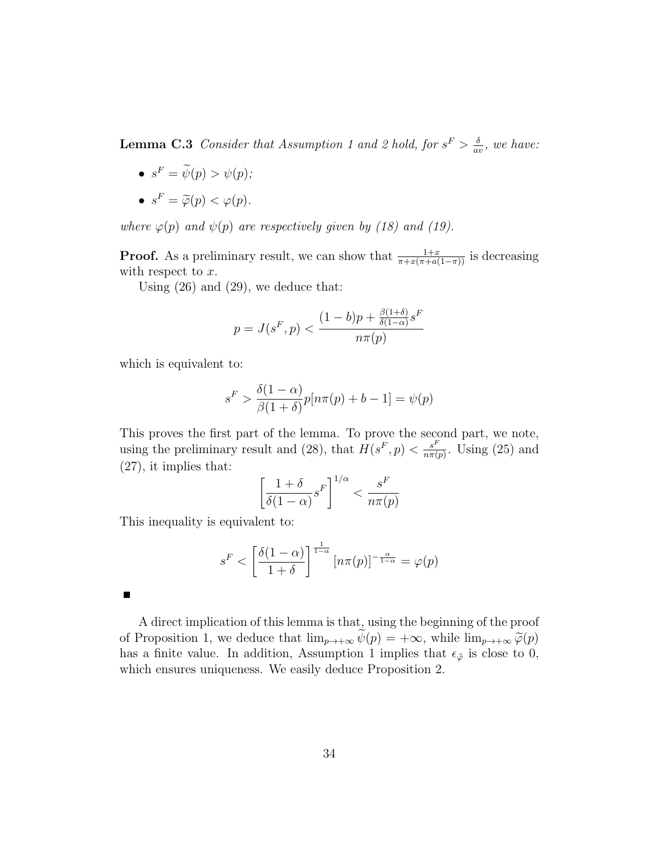**Lemma C.3** Consider that Assumption 1 and 2 hold, for  $s^F > \frac{\delta}{\delta s^2}$  $\frac{\delta}{\partial v}$ , we have:

- $s^F = \tilde{\psi}(p) > \psi(p);$
- $s^F = \widetilde{\varphi}(p) < \varphi(p)$ .

where  $\varphi(p)$  and  $\psi(p)$  are respectively given by (18) and (19).

**Proof.** As a preliminary result, we can show that  $\frac{1+x}{\pi+x(\pi+a(1-\pi))}$  is decreasing with respect to  $x$ .

Using (26) and (29), we deduce that:

$$
p = J(s^F, p) < \frac{(1 - b)p + \frac{\beta(1 + \delta)}{\delta(1 - \alpha)} s^F}{n\pi(p)}
$$

which is equivalent to:

$$
s^{F} > \frac{\delta(1-\alpha)}{\beta(1+\delta)} p[n\pi(p) + b - 1] = \psi(p)
$$

This proves the first part of the lemma. To prove the second part, we note, using the preliminary result and (28), that  $H(s^F, p) < \frac{s^F}{n\pi G}$  $\frac{s^r}{n\pi(p)}$ . Using (25) and (27), it implies that:

$$
\left[\frac{1+\delta}{\delta(1-\alpha)}s^F\right]^{1/\alpha} < \frac{s^F}{n\pi(p)}
$$

This inequality is equivalent to:

$$
s^{F} < \left[\frac{\delta(1-\alpha)}{1+\delta}\right]^{\frac{1}{1-\alpha}} \left[n\pi(p)\right]^{-\frac{\alpha}{1-\alpha}} = \varphi(p)
$$

П

A direct implication of this lemma is that, using the beginning of the proof of Proposition 1, we deduce that  $\lim_{p\to+\infty}\psi(p) = +\infty$ , while  $\lim_{p\to+\infty}\widetilde{\varphi}(p)$ has a finite value. In addition, Assumption 1 implies that  $\epsilon_{\tilde{\varphi}}$  is close to 0, which ensures uniqueness. We easily deduce Proposition 2.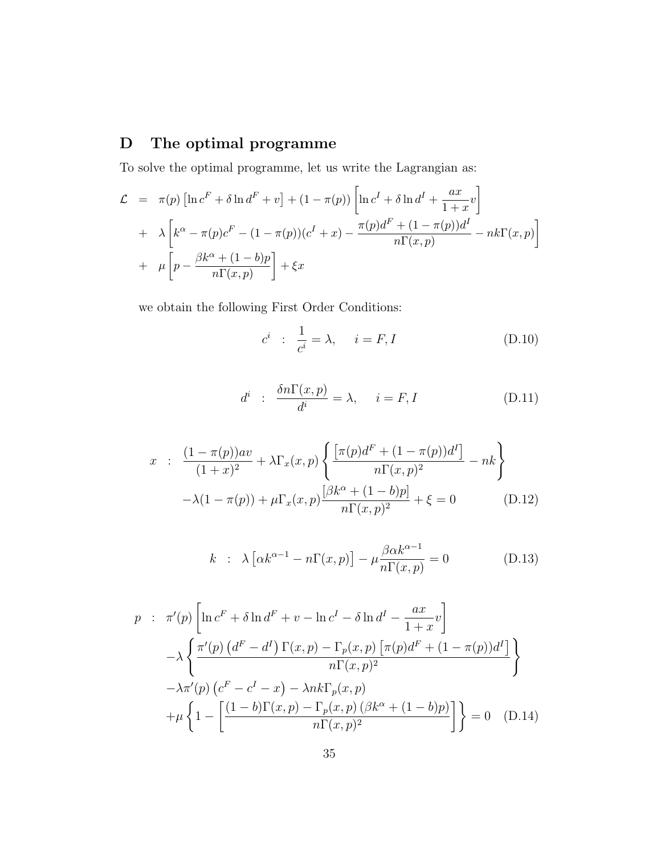# D The optimal programme

To solve the optimal programme, let us write the Lagrangian as:

$$
\mathcal{L} = \pi(p) \left[ \ln c^F + \delta \ln d^F + v \right] + (1 - \pi(p)) \left[ \ln c^I + \delta \ln d^I + \frac{ax}{1+x} v \right]
$$
  
+ 
$$
\lambda \left[ k^{\alpha} - \pi(p) c^F - (1 - \pi(p))(c^I + x) - \frac{\pi(p)d^F + (1 - \pi(p))d^I}{n\Gamma(x, p)} - nk\Gamma(x, p) \right]
$$
  
+ 
$$
\mu \left[ p - \frac{\beta k^{\alpha} + (1 - b)p}{n\Gamma(x, p)} \right] + \xi x
$$

we obtain the following First Order Conditions:

$$
c^i : \frac{1}{c^i} = \lambda, \quad i = F, I
$$
 (D.10)

$$
d^i : \frac{\delta n\Gamma(x,p)}{d^i} = \lambda, \quad i = F, I \tag{D.11}
$$

$$
x : \frac{(1 - \pi(p))av}{(1 + x)^2} + \lambda \Gamma_x(x, p) \left\{ \frac{\left[\pi(p)d^F + (1 - \pi(p))d^I\right]}{n\Gamma(x, p)^2} - nk \right\}
$$

$$
-\lambda(1 - \pi(p)) + \mu \Gamma_x(x, p) \frac{[\beta k^{\alpha} + (1 - b)p]}{n\Gamma(x, p)^2} + \xi = 0 \tag{D.12}
$$

$$
k : \lambda \left[ \alpha k^{\alpha - 1} - n \Gamma(x, p) \right] - \mu \frac{\beta \alpha k^{\alpha - 1}}{n \Gamma(x, p)} = 0 \tag{D.13}
$$

$$
p : \pi'(p) \left[ \ln c^F + \delta \ln d^F + v - \ln c^I - \delta \ln d^I - \frac{ax}{1+x} v \right]
$$
  
\n
$$
- \lambda \left\{ \frac{\pi'(p) \left( d^F - d^I \right) \Gamma(x, p) - \Gamma_p(x, p) \left[ \pi(p) d^F + (1 - \pi(p)) d^I \right]}{n \Gamma(x, p)^2} \right\}
$$
  
\n
$$
- \lambda \pi'(p) \left( c^F - c^I - x \right) - \lambda n k \Gamma_p(x, p)
$$
  
\n
$$
+ \mu \left\{ 1 - \left[ \frac{(1 - b) \Gamma(x, p) - \Gamma_p(x, p) \left( \beta k^{\alpha} + (1 - b)p \right)}{n \Gamma(x, p)^2} \right] \right\} = 0 \quad \text{(D.14)}
$$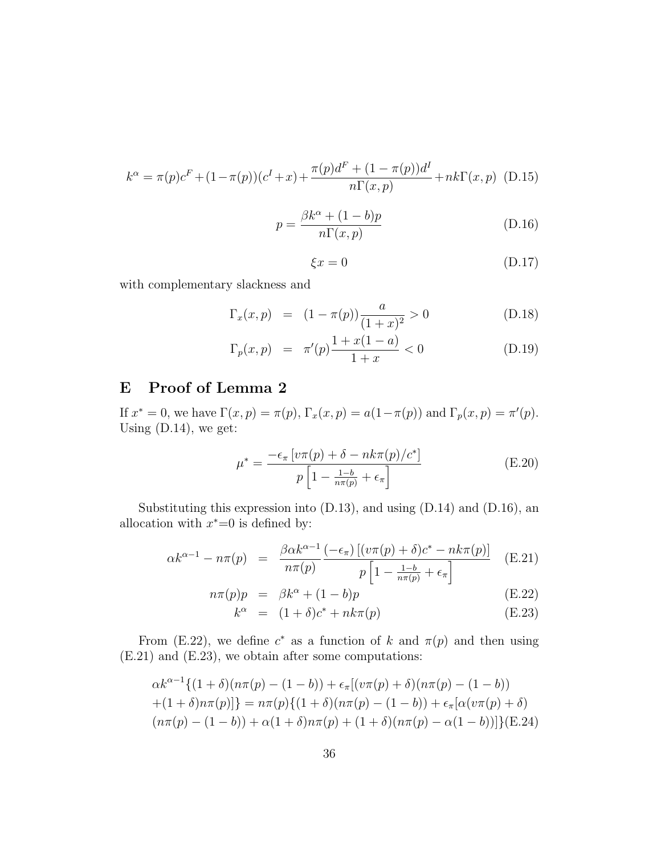$$
k^{\alpha} = \pi(p)c^{F} + (1 - \pi(p))(c^{I} + x) + \frac{\pi(p)d^{F} + (1 - \pi(p))d^{I}}{n\Gamma(x, p)} + nk\Gamma(x, p)
$$
 (D.15)

$$
p = \frac{\beta k^{\alpha} + (1 - b)p}{n\Gamma(x, p)}
$$
(D.16)

$$
\xi x = 0 \tag{D.17}
$$

with complementary slackness and

$$
\Gamma_x(x, p) = (1 - \pi(p)) \frac{a}{(1 + x)^2} > 0
$$
\n(D.18)

$$
\Gamma_p(x, p) = \pi'(p) \frac{1 + x(1 - a)}{1 + x} < 0 \tag{D.19}
$$

# E Proof of Lemma 2

If  $x^* = 0$ , we have  $\Gamma(x, p) = \pi(p)$ ,  $\Gamma_x(x, p) = a(1 - \pi(p))$  and  $\Gamma_p(x, p) = \pi'(p)$ . Using (D.14), we get:

$$
\mu^* = \frac{-\epsilon_\pi \left[ \nu \pi(p) + \delta - nk\pi(p)/c^* \right]}{p \left[ 1 - \frac{1-b}{n\pi(p)} + \epsilon_\pi \right]}
$$
(E.20)

Substituting this expression into (D.13), and using (D.14) and (D.16), an allocation with  $x^* = 0$  is defined by:

$$
\alpha k^{\alpha - 1} - n\pi(p) = \frac{\beta \alpha k^{\alpha - 1}}{n\pi(p)} \frac{(-\epsilon_{\pi}) \left[ (v\pi(p) + \delta)c^* - nk\pi(p) \right]}{p \left[ 1 - \frac{1 - b}{n\pi(p)} + \epsilon_{\pi} \right]} \quad (E.21)
$$

$$
n\pi(p)p = \beta k^{\alpha} + (1-b)p \tag{E.22}
$$

$$
k^{\alpha} = (1+\delta)c^* + nk\pi(p) \tag{E.23}
$$

From (E.22), we define  $c^*$  as a function of k and  $\pi(p)$  and then using (E.21) and (E.23), we obtain after some computations:

$$
\alpha k^{\alpha-1}\{(1+\delta)(n\pi(p)-(1-b))+\epsilon_{\pi}[(v\pi(p)+\delta)(n\pi(p)-(1-b))+(1+\delta)n\pi(p)]\} = n\pi(p)\{(1+\delta)(n\pi(p)-(1-b))+\epsilon_{\pi}[\alpha(v\pi(p)+\delta)(n\pi(p)-(1-b))+\alpha(1+\delta)n\pi(p)+(1+\delta)(n\pi(p)-\alpha(1-b))]\}(E.24)
$$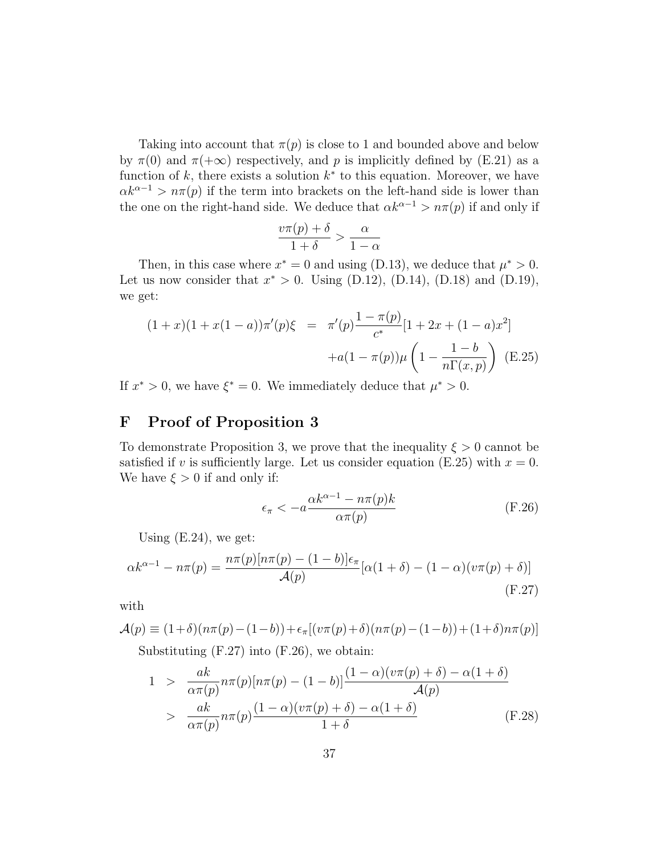Taking into account that  $\pi(p)$  is close to 1 and bounded above and below by  $\pi(0)$  and  $\pi(+\infty)$  respectively, and p is implicitly defined by (E.21) as a function of  $k$ , there exists a solution  $k^*$  to this equation. Moreover, we have  $\alpha k^{\alpha-1} > n\pi(p)$  if the term into brackets on the left-hand side is lower than the one on the right-hand side. We deduce that  $\alpha k^{\alpha-1} > n\pi(p)$  if and only if

$$
\frac{v\pi(p)+\delta}{1+\delta} > \frac{\alpha}{1-\alpha}
$$

Then, in this case where  $x^* = 0$  and using (D.13), we deduce that  $\mu^* > 0$ . Let us now consider that  $x^* > 0$ . Using (D.12), (D.14), (D.18) and (D.19), we get:

$$
(1+x)(1+x(1-a))\pi'(p)\xi = \pi'(p)\frac{1-\pi(p)}{c^*}[1+2x+(1-a)x^2] +a(1-\pi(p))\mu\left(1-\frac{1-b}{n\Gamma(x,p)}\right)
$$
(E.25)

If  $x^* > 0$ , we have  $\xi^* = 0$ . We immediately deduce that  $\mu^* > 0$ .

## F Proof of Proposition 3

To demonstrate Proposition 3, we prove that the inequality  $\xi > 0$  cannot be satisfied if v is sufficiently large. Let us consider equation (E.25) with  $x = 0$ . We have  $\xi > 0$  if and only if:

$$
\epsilon_{\pi} < -a \frac{\alpha k^{\alpha - 1} - n\pi(p)k}{\alpha \pi(p)} \tag{F.26}
$$

Using  $(E.24)$ , we get:

$$
\alpha k^{\alpha - 1} - n\pi(p) = \frac{n\pi(p)[n\pi(p) - (1 - b)]\epsilon_{\pi}}{\mathcal{A}(p)}[\alpha(1 + \delta) - (1 - \alpha)(v\pi(p) + \delta)]
$$
\n(F.27)

with

$$
\mathcal{A}(p) \equiv (1+\delta)(n\pi(p) - (1-b)) + \epsilon_{\pi}[(v\pi(p) + \delta)(n\pi(p) - (1-b)) + (1+\delta)n\pi(p)]
$$
  
Substituting (F.27) into (F.26), we obtain:

$$
1 > \frac{ak}{\alpha \pi(p)} n\pi(p)[n\pi(p) - (1-b)] \frac{(1-\alpha)(v\pi(p) + \delta) - \alpha(1+\delta)}{\mathcal{A}(p)}
$$
  
> 
$$
\frac{ak}{\alpha \pi(p)} n\pi(p) \frac{(1-\alpha)(v\pi(p) + \delta) - \alpha(1+\delta)}{1+\delta}
$$
 (F.28)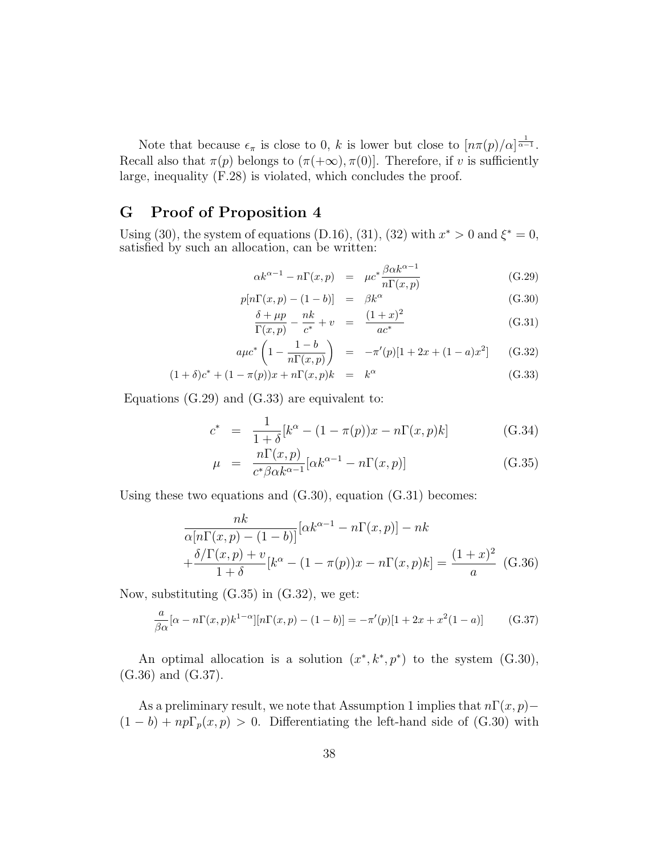Note that because  $\epsilon_{\pi}$  is close to 0, k is lower but close to  $\left\lfloor n\pi(p)/\alpha\right\rfloor^{\frac{1}{\alpha-1}}$ . Recall also that  $\pi(p)$  belongs to  $(\pi(+\infty), \pi(0))$ . Therefore, if v is sufficiently large, inequality (F.28) is violated, which concludes the proof.

### G Proof of Proposition 4

Using (30), the system of equations (D.16), (31), (32) with  $x^* > 0$  and  $\xi^* = 0$ , satisfied by such an allocation, can be written:

$$
\alpha k^{\alpha - 1} - n\Gamma(x, p) = \mu c^* \frac{\beta \alpha k^{\alpha - 1}}{n\Gamma(x, p)}
$$
(G.29)

$$
p[n\Gamma(x,p) - (1-b)] = \beta k^{\alpha}
$$
\n
$$
\delta + \mu p - nk \qquad (1+r)^2
$$
\n(G.30)

$$
\frac{\delta + \mu p}{\Gamma(x, p)} - \frac{nk}{c^*} + v = \frac{(1+x)^2}{ac^*}
$$
\n(G.31)

$$
a\mu c^* \left(1 - \frac{1 - b}{n\Gamma(x, p)}\right) = -\pi'(p)[1 + 2x + (1 - a)x^2] \qquad (G.32)
$$

$$
(1 + \delta)c^* + (1 - \pi(p))x + n\Gamma(x, p)k = k^{\alpha}
$$
 (G.33)

Equations (G.29) and (G.33) are equivalent to:

$$
c^* = \frac{1}{1+\delta} [k^{\alpha} - (1-\pi(p))x - n\Gamma(x,p)k]
$$
 (G.34)

$$
\mu = \frac{n\Gamma(x,p)}{c^*\beta\alpha k^{\alpha-1}} [\alpha k^{\alpha-1} - n\Gamma(x,p)] \tag{G.35}
$$

Using these two equations and  $(G.30)$ , equation  $(G.31)$  becomes:

$$
\frac{nk}{\alpha[n\Gamma(x,p) - (1-b)]} [\alpha k^{\alpha-1} - n\Gamma(x,p)] - nk
$$

$$
+\frac{\delta/\Gamma(x,p) + v}{1+\delta} [k^{\alpha} - (1-\pi(p))x - n\Gamma(x,p)k] = \frac{(1+x)^2}{a} \quad (G.36)
$$

Now, substituting  $(G.35)$  in  $(G.32)$ , we get:

$$
\frac{a}{\beta \alpha} [\alpha - n\Gamma(x, p) k^{1-\alpha}] [n\Gamma(x, p) - (1 - b)] = -\pi'(p)[1 + 2x + x^2(1 - a)] \tag{G.37}
$$

An optimal allocation is a solution  $(x^*, k^*, p^*)$  to the system (G.30), (G.36) and (G.37).

As a preliminary result, we note that Assumption 1 implies that  $n\Gamma(x, p)$  –  $(1 - b) + np\Gamma_p(x, p) > 0$ . Differentiating the left-hand side of (G.30) with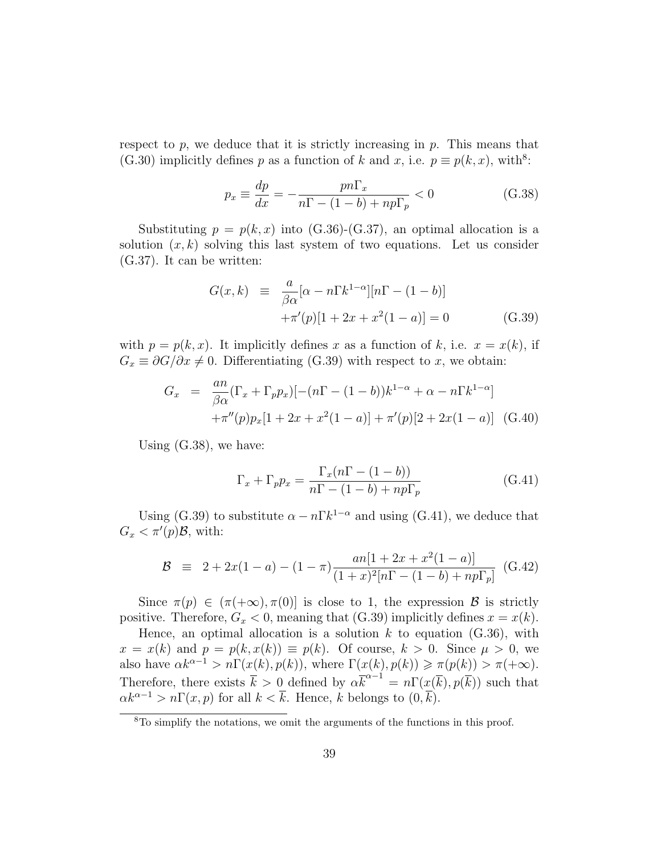respect to  $p$ , we deduce that it is strictly increasing in  $p$ . This means that (G.30) implicitly defines p as a function of k and x, i.e.  $p \equiv p(k, x)$ , with<sup>8</sup>:

$$
p_x \equiv \frac{dp}{dx} = -\frac{pn\Gamma_x}{n\Gamma - (1-b) + np\Gamma_p} < 0 \tag{G.38}
$$

Substituting  $p = p(k, x)$  into (G.36)-(G.37), an optimal allocation is a solution  $(x, k)$  solving this last system of two equations. Let us consider (G.37). It can be written:

$$
G(x,k) \equiv \frac{a}{\beta \alpha} [\alpha - n \Gamma k^{1-\alpha}] [n\Gamma - (1-b)] +\pi'(p)[1+2x+x^2(1-a)] = 0
$$
 (G.39)

with  $p = p(k, x)$ . It implicitly defines x as a function of k, i.e.  $x = x(k)$ , if  $G_x \equiv \partial G/\partial x \neq 0$ . Differentiating (G.39) with respect to x, we obtain:

$$
G_x = \frac{an}{\beta \alpha} (\Gamma_x + \Gamma_p p_x) [-(n\Gamma - (1-b))k^{1-\alpha} + \alpha - n\Gamma k^{1-\alpha}] +\pi''(p)p_x [1 + 2x + x^2(1-a)] + \pi'(p)[2 + 2x(1-a)]
$$
 (G.40)

Using (G.38), we have:

$$
\Gamma_x + \Gamma_p p_x = \frac{\Gamma_x (n\Gamma - (1 - b))}{n\Gamma - (1 - b) + np\Gamma_p}
$$
(G.41)

Using (G.39) to substitute  $\alpha - n \Gamma k^{1-\alpha}$  and using (G.41), we deduce that  $G_x < \pi'(p)B$ , with:

$$
\mathcal{B} \equiv 2 + 2x(1 - a) - (1 - \pi) \frac{an[1 + 2x + x^2(1 - a)]}{(1 + x)^2[n\Gamma - (1 - b) + np\Gamma_p]}
$$
(G.42)

Since  $\pi(p) \in (\pi(+\infty), \pi(0)]$  is close to 1, the expression  $\mathcal{B}$  is strictly positive. Therefore,  $G_x < 0$ , meaning that (G.39) implicitly defines  $x = x(k)$ .

Hence, an optimal allocation is a solution  $k$  to equation  $(G.36)$ , with  $x = x(k)$  and  $p = p(k, x(k)) \equiv p(k)$ . Of course,  $k > 0$ . Since  $\mu > 0$ , we also have  $\alpha k^{\alpha-1} > n\Gamma(x(k), p(k))$ , where  $\Gamma(x(k), p(k)) \ge \pi(p(k)) > \pi(+\infty)$ . Therefore, there exists  $\bar{k} > 0$  defined by  $\alpha \bar{k}^{\alpha-1} = n\Gamma(x(\bar{k}), p(\bar{k}))$  such that  $\alpha k^{\alpha-1} > n\Gamma(x,p)$  for all  $k < \overline{k}$ . Hence, k belongs to  $(0,\overline{k})$ .

<sup>8</sup>To simplify the notations, we omit the arguments of the functions in this proof.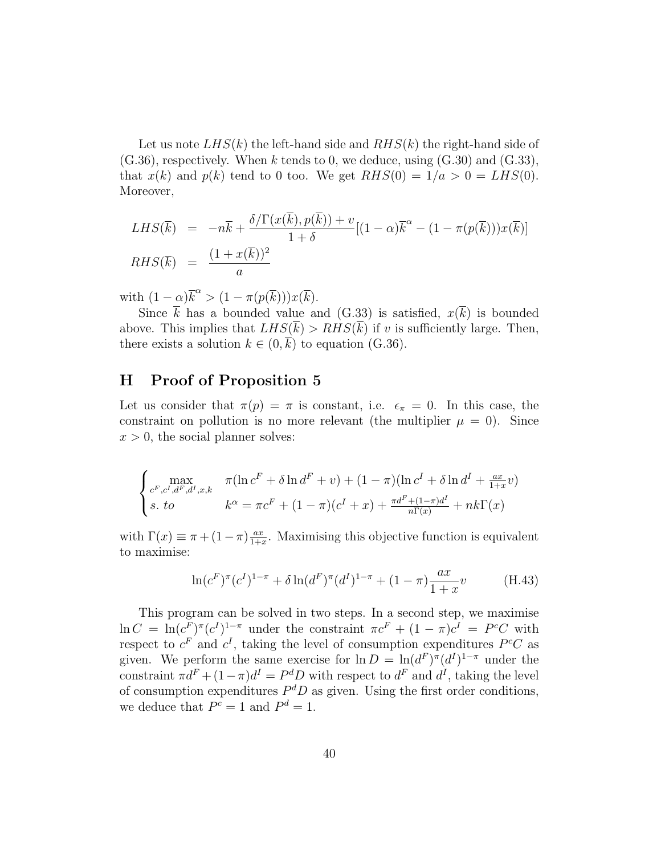Let us note  $LHS(k)$  the left-hand side and  $RHS(k)$  the right-hand side of  $(G.36)$ , respectively. When k tends to 0, we deduce, using  $(G.30)$  and  $(G.33)$ , that  $x(k)$  and  $p(k)$  tend to 0 too. We get  $RHS(0) = 1/a > 0 = LHS(0)$ . Moreover,

$$
LHS(\overline{k}) = -n\overline{k} + \frac{\delta/\Gamma(x(\overline{k}), p(\overline{k})) + v}{1 + \delta} [(1 - \alpha)\overline{k}^{\alpha} - (1 - \pi(p(\overline{k})))x(\overline{k})]
$$
  
\n
$$
RHS(\overline{k}) = \frac{(1 + x(\overline{k}))^2}{a}
$$

with  $(1-\alpha)\overline{k}^{\alpha} > (1-\pi(p(\overline{k})))x(\overline{k}).$ 

Since  $\overline{k}$  has a bounded value and (G.33) is satisfied,  $x(\overline{k})$  is bounded above. This implies that  $LHS(\overline{k}) > RHS(\overline{k})$  if v is sufficiently large. Then, there exists a solution  $k \in (0, k)$  to equation (G.36).

### H Proof of Proposition 5

Let us consider that  $\pi(p) = \pi$  is constant, i.e.  $\epsilon_{\pi} = 0$ . In this case, the constraint on pollution is no more relevant (the multiplier  $\mu = 0$ ). Since  $x > 0$ , the social planner solves:

$$
\begin{cases}\n\max_{c^F, c^I, d^F, d^I, x, k} & \pi(\ln c^F + \delta \ln d^F + v) + (1 - \pi)(\ln c^I + \delta \ln d^I + \frac{ax}{1 + x}v) \\
s. \quad \text{to} \quad\n\begin{cases}\n\kappa^{\alpha} = \pi c^F + (1 - \pi)(c^I + x) + \frac{\pi d^F + (1 - \pi)d^I}{n\Gamma(x)} + nk\Gamma(x)\n\end{cases}\n\end{cases}
$$

with  $\Gamma(x) \equiv \pi + (1 - \pi) \frac{ax}{1 + x}$  $\frac{ax}{1+x}$ . Maximising this objective function is equivalent to maximise:

$$
\ln(c^F)^{\pi}(c^I)^{1-\pi} + \delta \ln(d^F)^{\pi}(d^I)^{1-\pi} + (1-\pi)\frac{ax}{1+x}v \tag{H.43}
$$

This program can be solved in two steps. In a second step, we maximise  $\ln C = \ln(c_F^F)^{\pi}(c^I)^{1-\pi}$  under the constraint  $\pi c^F + (1-\pi)c^I = P^cC$  with respect to  $c^F$  and  $c^I$ , taking the level of consumption expenditures  $P^cC$  as given. We perform the same exercise for  $\ln D = \ln(d^F)^\pi (d^I)^{1-\pi}$  under the constraint  $\pi d^F + (1 - \pi)d^I = P^dD$  with respect to  $d^F$  and  $d^I$ , taking the level of consumption expenditures  $P^dD$  as given. Using the first order conditions, we deduce that  $P^c = 1$  and  $P^d = 1$ .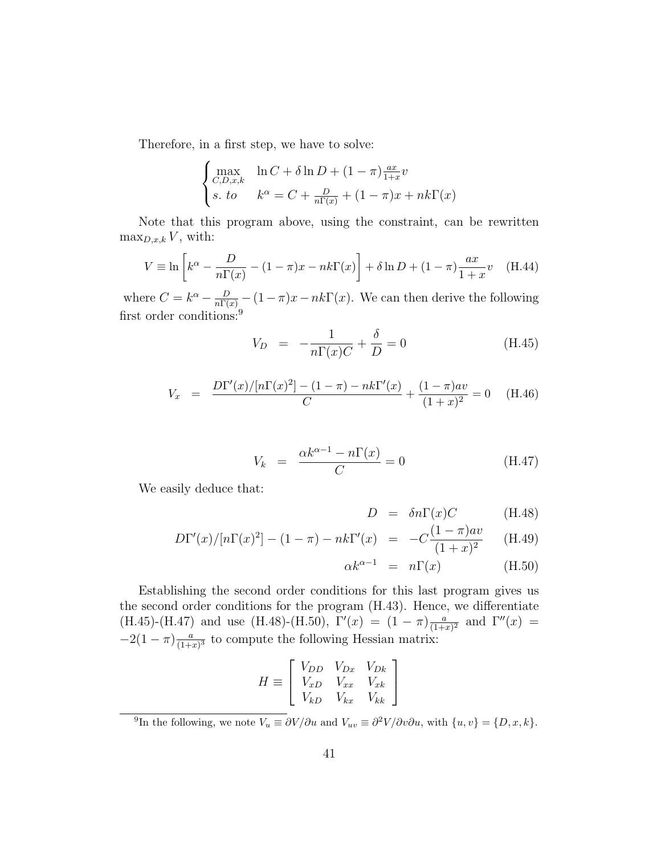Therefore, in a first step, we have to solve:

$$
\begin{cases}\n\max_{C,D,x,k} & \ln C + \delta \ln D + (1 - \pi) \frac{ax}{1 + x} v \\
s. \quad \text{to} \quad & k^{\alpha} = C + \frac{D}{n\Gamma(x)} + (1 - \pi)x + nk\Gamma(x)\n\end{cases}
$$

Note that this program above, using the constraint, can be rewritten  $\max_{D,x,k} V$ , with:

$$
V \equiv \ln \left[ k^{\alpha} - \frac{D}{n\Gamma(x)} - (1 - \pi)x - nk\Gamma(x) \right] + \delta \ln D + (1 - \pi) \frac{ax}{1 + x}v \quad (H.44)
$$

where  $C = k^{\alpha} - \frac{D}{n\Gamma(x)} - (1 - \pi)x - nk\Gamma(x)$ . We can then derive the following first order conditions:<sup>9</sup>

$$
V_D = -\frac{1}{n\Gamma(x)C} + \frac{\delta}{D} = 0
$$
 (H.45)

$$
V_x = \frac{D\Gamma'(x)/[n\Gamma(x)^2] - (1-\pi) - nk\Gamma'(x)}{C} + \frac{(1-\pi)av}{(1+x)^2} = 0 \quad \text{(H.46)}
$$

$$
V_k = \frac{\alpha k^{\alpha - 1} - n\Gamma(x)}{C} = 0
$$
 (H.47)

We easily deduce that:

$$
D = \delta n \Gamma(x) C \qquad (H.48)
$$

$$
D\Gamma'(x)/[n\Gamma(x)^{2}] - (1 - \pi) - nk\Gamma'(x) = -C\frac{(1 - \pi)av}{(1 + x)^{2}} \tag{H.49}
$$

$$
\alpha k^{\alpha - 1} = n\Gamma(x) \tag{H.50}
$$

Establishing the second order conditions for this last program gives us the second order conditions for the program (H.43). Hence, we differentiate (H.45)-(H.47) and use (H.48)-(H.50),  $\Gamma'(x) = (1 - \pi) \frac{a}{(1+x)}$  $\frac{a}{(1+x)^2}$  and  $\Gamma''(x) =$  $-2(1 - \pi)\frac{a}{(1 + \pi)^2}$  $\frac{a}{(1+x)^3}$  to compute the following Hessian matrix:

$$
H \equiv \left[ \begin{array}{ccc} V_{DD} & V_{Dx} & V_{Dk} \\ V_{xD} & V_{xx} & V_{xk} \\ V_{kD} & V_{kx} & V_{kk} \end{array} \right]
$$

<sup>&</sup>lt;sup>9</sup>In the following, we note  $V_u \equiv \partial V/\partial u$  and  $V_{uv} \equiv \partial^2 V/\partial v \partial u$ , with  $\{u, v\} = \{D, x, k\}.$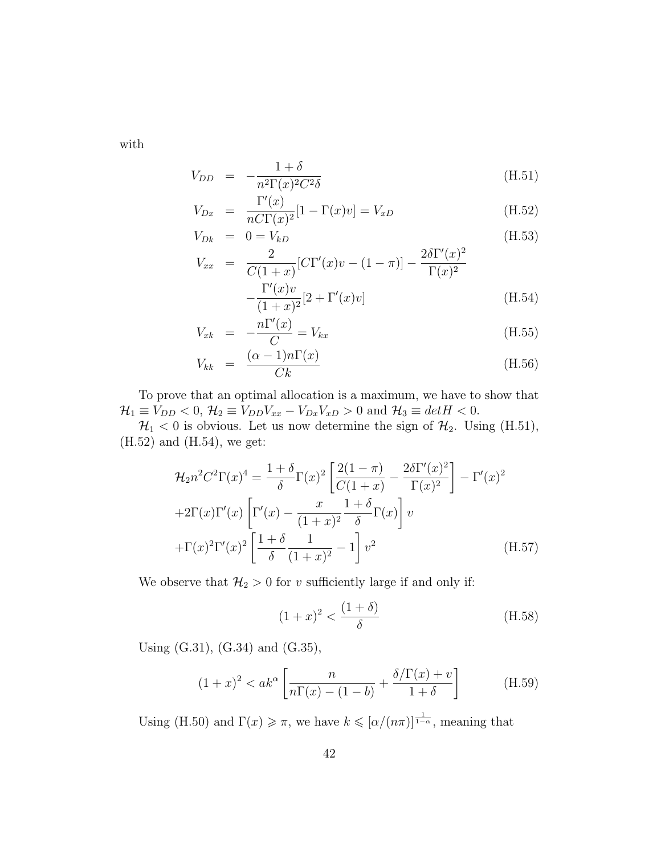with

$$
V_{DD} = -\frac{1+\delta}{n^2 \Gamma(x)^2 C^2 \delta} \tag{H.51}
$$

$$
V_{Dx} = \frac{\Gamma'(x)}{n C \Gamma(x)^2} [1 - \Gamma(x)v] = V_{xD}
$$
\n(H.52)

$$
V_{Dk} = 0 = V_{kD} \tag{H.53}
$$

$$
V_{xx} = \frac{2}{C(1+x)} [C\Gamma'(x)v - (1-\pi)] - \frac{2\delta\Gamma'(x)^2}{\Gamma(x)^2} - \frac{\Gamma'(x)v}{(1+x)^2} [2+\Gamma'(x)v]
$$
(H.54)

$$
V_{x\kappa} = -\frac{n\Gamma'(x)}{C} = V_{kx}
$$
\n(H.55)

$$
V_{kk} = \frac{(\alpha - 1)n\Gamma(x)}{Ck}
$$
 (H.56)

To prove that an optimal allocation is a maximum, we have to show that  $\mathcal{H}_1 \equiv V_{DD} < 0, \, \mathcal{H}_2 \equiv V_{DD}V_{xx} - V_{Dx}V_{xD} > 0$  and  $\mathcal{H}_3 \equiv detH < 0.$ 

 $\mathcal{H}_1 < 0$  is obvious. Let us now determine the sign of  $\mathcal{H}_2$ . Using (H.51), (H.52) and (H.54), we get:

$$
\mathcal{H}_{2}n^{2}C^{2}\Gamma(x)^{4} = \frac{1+\delta}{\delta}\Gamma(x)^{2}\left[\frac{2(1-\pi)}{C(1+x)} - \frac{2\delta\Gamma'(x)^{2}}{\Gamma(x)^{2}}\right] - \Gamma'(x)^{2}
$$

$$
+2\Gamma(x)\Gamma'(x)\left[\Gamma'(x) - \frac{x}{(1+x)^{2}}\frac{1+\delta}{\delta}\Gamma(x)\right]v
$$

$$
+\Gamma(x)^{2}\Gamma'(x)^{2}\left[\frac{1+\delta}{\delta}\frac{1}{(1+x)^{2}} - 1\right]v^{2}
$$
(H.57)

We observe that  $\mathcal{H}_2 > 0$  for v sufficiently large if and only if:

$$
(1+x)^2 < \frac{(1+\delta)}{\delta} \tag{H.58}
$$

Using (G.31), (G.34) and (G.35),

$$
(1+x)^2 < ak^{\alpha} \left[ \frac{n}{n\Gamma(x) - (1-b)} + \frac{\delta/\Gamma(x) + v}{1+\delta} \right] \tag{H.59}
$$

Using (H.50) and  $\Gamma(x) \geq \pi$ , we have  $k \leqslant [\alpha/(n\pi)]^{\frac{1}{1-\alpha}}$ , meaning that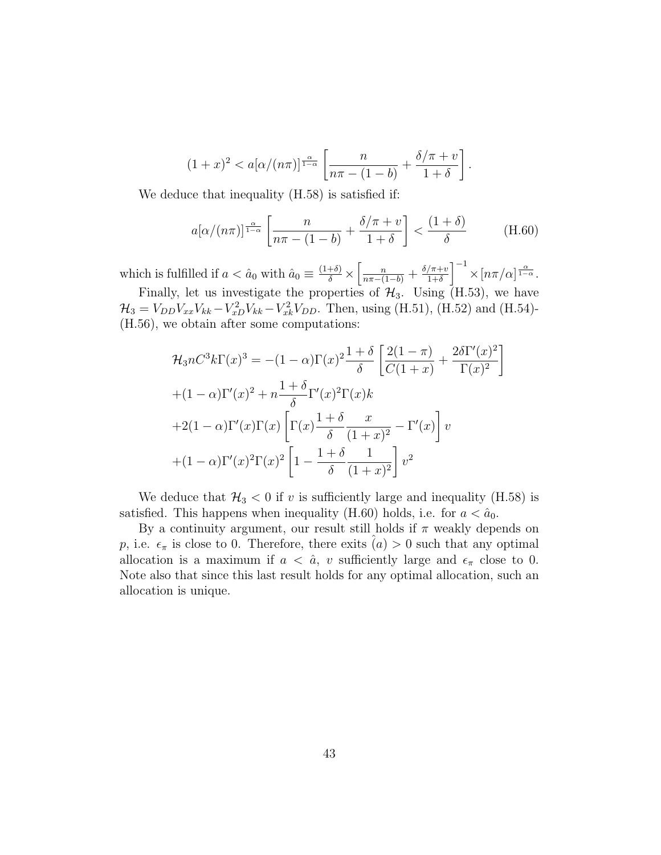$$
(1+x)^2 < a[\alpha/(n\pi)]^{\frac{\alpha}{1-\alpha}} \left[ \frac{n}{n\pi - (1-b)} + \frac{\delta/\pi + v}{1+\delta} \right].
$$

We deduce that inequality (H.58) is satisfied if:

$$
a[\alpha/(n\pi)]^{\frac{\alpha}{1-\alpha}} \left[ \frac{n}{n\pi - (1-b)} + \frac{\delta/\pi + v}{1+\delta} \right] < \frac{(1+\delta)}{\delta} \tag{H.60}
$$

1

which is fulfilled if  $a < \hat{a}_0$  with  $\hat{a}_0 \equiv \frac{(1+\delta)}{\delta} \times$  $\left[\frac{n}{n\pi-(1-b)}+\frac{\delta/\pi+v}{1+\delta}\right]$  $1+\delta$  $\int^{-1} \times [n\pi/\alpha]^{\frac{\alpha}{1-\alpha}}.$ 

Finally, let us investigate the properties of  $\mathcal{H}_3$ . Using  $(H.53)$ , we have  $\mathcal{H}_3 = V_{DD} V_{xx} V_{kk} - V_{xD}^2 V_{kk} - V_{xk}^2 V_{DD}$ . Then, using (H.51), (H.52) and (H.54)-(H.56), we obtain after some computations:

$$
\mathcal{H}_3 n C^3 k \Gamma(x)^3 = -(1-\alpha) \Gamma(x)^2 \frac{1+\delta}{\delta} \left[ \frac{2(1-\pi)}{C(1+x)} + \frac{2\delta \Gamma'(x)^2}{\Gamma(x)^2} + (1-\alpha) \Gamma'(x)^2 + n \frac{1+\delta}{\delta} \Gamma'(x)^2 \Gamma(x) k
$$

$$
+ 2(1-\alpha) \Gamma'(x) \Gamma(x) \left[ \Gamma(x) \frac{1+\delta}{\delta} \frac{x}{(1+x)^2} - \Gamma'(x) \right] v
$$

$$
+ (1-\alpha) \Gamma'(x)^2 \Gamma(x)^2 \left[ 1 - \frac{1+\delta}{\delta} \frac{1}{(1+x)^2} \right] v^2
$$

We deduce that  $\mathcal{H}_3 < 0$  if v is sufficiently large and inequality (H.58) is satisfied. This happens when inequality (H.60) holds, i.e. for  $a < \hat{a}_0$ .

By a continuity argument, our result still holds if  $\pi$  weakly depends on p, i.e.  $\epsilon_{\pi}$  is close to 0. Therefore, there exits  $(a) > 0$  such that any optimal allocation is a maximum if  $a < \hat{a}$ , v sufficiently large and  $\epsilon_{\pi}$  close to 0. Note also that since this last result holds for any optimal allocation, such an allocation is unique.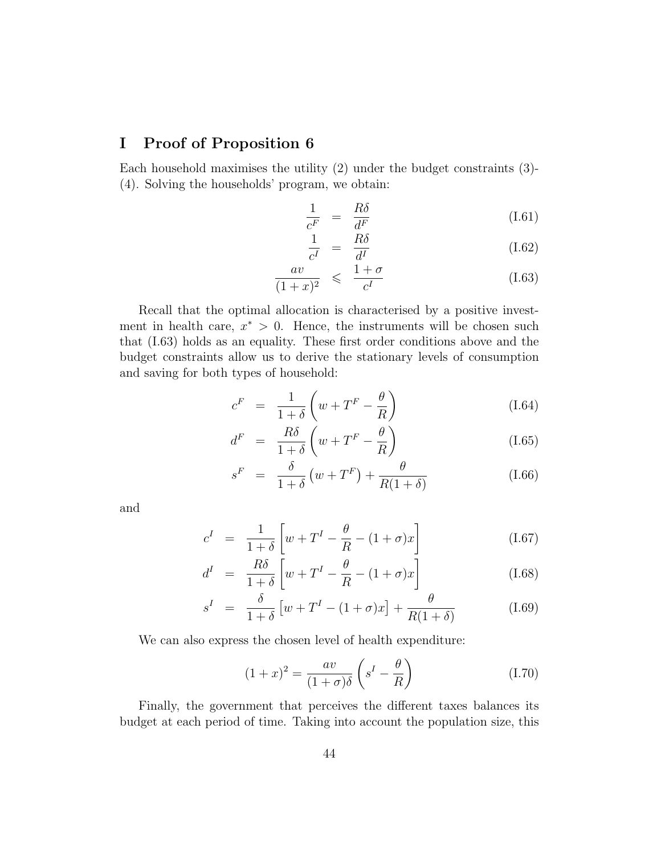## I Proof of Proposition 6

Each household maximises the utility (2) under the budget constraints (3)- (4). Solving the households' program, we obtain:

$$
\frac{1}{c^F} = \frac{R\delta}{d^F} \tag{I.61}
$$

$$
\frac{1}{c^I} = \frac{R\delta}{d^I} \tag{I.62}
$$

$$
\frac{av}{(1+x)^2} \leqslant \frac{1+\sigma}{c^I} \tag{I.63}
$$

Recall that the optimal allocation is characterised by a positive investment in health care,  $x^* > 0$ . Hence, the instruments will be chosen such that (I.63) holds as an equality. These first order conditions above and the budget constraints allow us to derive the stationary levels of consumption and saving for both types of household:

$$
c^{F} = \frac{1}{1+\delta} \left( w + T^{F} - \frac{\theta}{R} \right)
$$
 (I.64)

$$
d^{F} = \frac{R\delta}{1+\delta} \left( w + T^{F} - \frac{\theta}{R} \right)
$$
 (I.65)

$$
s^{F} = \frac{\delta}{1+\delta} \left( w + T^{F} \right) + \frac{\theta}{R(1+\delta)} \tag{I.66}
$$

and

$$
c^I = \frac{1}{1+\delta} \left[ w + T^I - \frac{\theta}{R} - (1+\sigma)x \right]
$$
 (I.67)

$$
d^{I} = \frac{R\delta}{1+\delta} \left[ w + T^{I} - \frac{\theta}{R} - (1+\sigma)x \right]
$$
 (I.68)

$$
s^{I} = \frac{\delta}{1+\delta} \left[ w + T^{I} - (1+\sigma)x \right] + \frac{\theta}{R(1+\delta)}
$$
(I.69)

We can also express the chosen level of health expenditure:

$$
(1+x)^2 = \frac{av}{(1+\sigma)\delta} \left(s^I - \frac{\theta}{R}\right)
$$
 (I.70)

Finally, the government that perceives the different taxes balances its budget at each period of time. Taking into account the population size, this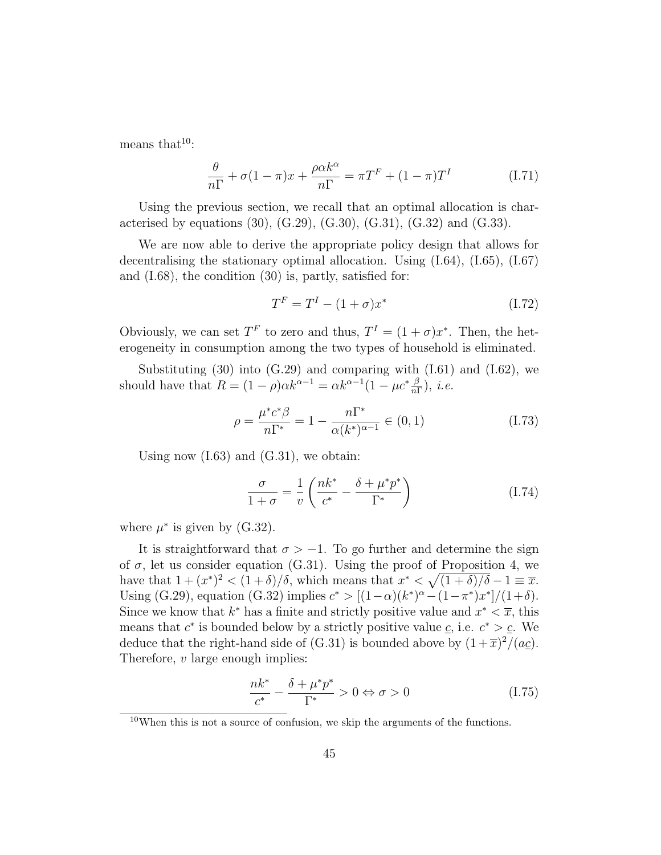means that $10$ :

$$
\frac{\theta}{n\Gamma} + \sigma(1-\pi)x + \frac{\rho\alpha k^{\alpha}}{n\Gamma} = \pi T^{F} + (1-\pi)T^{I}
$$
 (I.71)

Using the previous section, we recall that an optimal allocation is characterised by equations (30), (G.29), (G.30), (G.31), (G.32) and (G.33).

We are now able to derive the appropriate policy design that allows for decentralising the stationary optimal allocation. Using (I.64), (I.65), (I.67) and (I.68), the condition (30) is, partly, satisfied for:

$$
T^{F} = T^{I} - (1 + \sigma)x^{*}
$$
 (I.72)

Obviously, we can set  $T^F$  to zero and thus,  $T^I = (1 + \sigma)x^*$ . Then, the heterogeneity in consumption among the two types of household is eliminated.

Substituting  $(30)$  into  $(G.29)$  and comparing with  $(I.61)$  and  $(I.62)$ , we should have that  $R = (1 - \rho)\alpha k^{\alpha - 1} = \alpha k^{\alpha - 1}(1 - \mu c^* \frac{\beta}{n\Gamma}), i.e.$ 

$$
\rho = \frac{\mu^* c^* \beta}{n \Gamma^*} = 1 - \frac{n \Gamma^*}{\alpha (k^*)^{\alpha - 1}} \in (0, 1)
$$
\n(1.73)

Using now  $(1.63)$  and  $(0.31)$ , we obtain:

$$
\frac{\sigma}{1+\sigma} = \frac{1}{v} \left( \frac{nk^*}{c^*} - \frac{\delta + \mu^* p^*}{\Gamma^*} \right) \tag{I.74}
$$

where  $\mu^*$  is given by (G.32).

It is straightforward that  $\sigma > -1$ . To go further and determine the sign of  $\sigma$ , let us consider equation (G.31). Using the proof of Proposition 4, we have that  $1 + (x^*)^2 < (1 + \delta)/\delta$ , which means that  $x^* < \sqrt{(1 + \delta)/\delta} - 1 \equiv \overline{x}$ . Using (G.29), equation (G.32) implies  $c^* > [(1-\alpha)(k^*)^{\alpha} - (1-\pi^*)x^*]/(1+\delta)$ . Since we know that  $k^*$  has a finite and strictly positive value and  $x^* < \overline{x}$ , this means that  $c^*$  is bounded below by a strictly positive value  $\underline{c}$ , i.e.  $c^* > \underline{c}$ . We deduce that the right-hand side of (G.31) is bounded above by  $(1+\overline{x})^2/(a_{\mathcal{L}})$ . Therefore,  $v$  large enough implies:

$$
\frac{nk^*}{c^*} - \frac{\delta + \mu^* p^*}{\Gamma^*} > 0 \Leftrightarrow \sigma > 0 \tag{I.75}
$$

 $10$ When this is not a source of confusion, we skip the arguments of the functions.